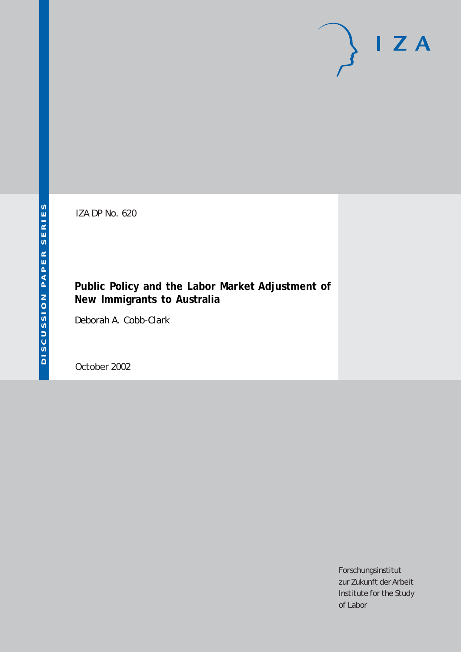IZA DP No. 620

# **Public Policy and the Labor Market Adjustment of New Immigrants to Australia**

Deborah A. Cobb-Clark

October 2002

Forschungsinstitut zur Zukunft der Arbeit Institute for the Study of Labor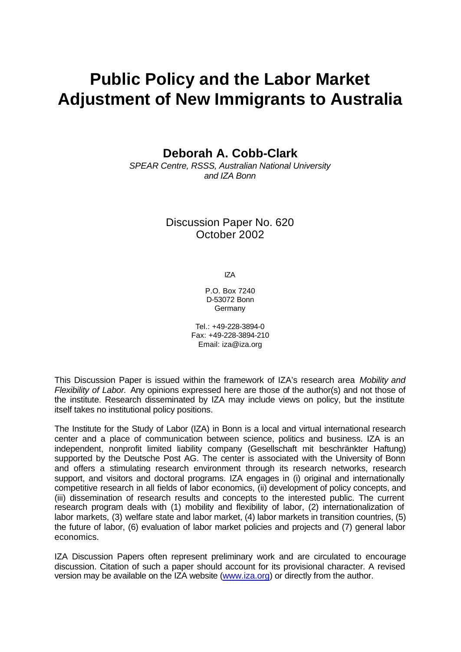# **Public Policy and the Labor Market Adjustment of New Immigrants to Australia**

**Deborah A. Cobb-Clark**

*SPEAR Centre, RSSS, Australian National University and IZA Bonn*

> Discussion Paper No. 620 October 2002

> > IZA

P.O. Box 7240 D-53072 Bonn Germany

Tel.: +49-228-3894-0 Fax: +49-228-3894-210 Email: iza@iza.org

This Discussion Paper is issued within the framework of IZA's research area *Mobility and Flexibility of Labor.* Any opinions expressed here are those of the author(s) and not those of the institute. Research disseminated by IZA may include views on policy, but the institute itself takes no institutional policy positions.

The Institute for the Study of Labor (IZA) in Bonn is a local and virtual international research center and a place of communication between science, politics and business. IZA is an independent, nonprofit limited liability company (Gesellschaft mit beschränkter Haftung) supported by the Deutsche Post AG. The center is associated with the University of Bonn and offers a stimulating research environment through its research networks, research support, and visitors and doctoral programs. IZA engages in (i) original and internationally competitive research in all fields of labor economics, (ii) development of policy concepts, and (iii) dissemination of research results and concepts to the interested public. The current research program deals with (1) mobility and flexibility of labor, (2) internationalization of labor markets, (3) welfare state and labor market, (4) labor markets in transition countries, (5) the future of labor, (6) evaluation of labor market policies and projects and (7) general labor economics.

IZA Discussion Papers often represent preliminary work and are circulated to encourage discussion. Citation of such a paper should account for its provisional character. A revised version may be available on the IZA website (www.iza.org) or directly from the author.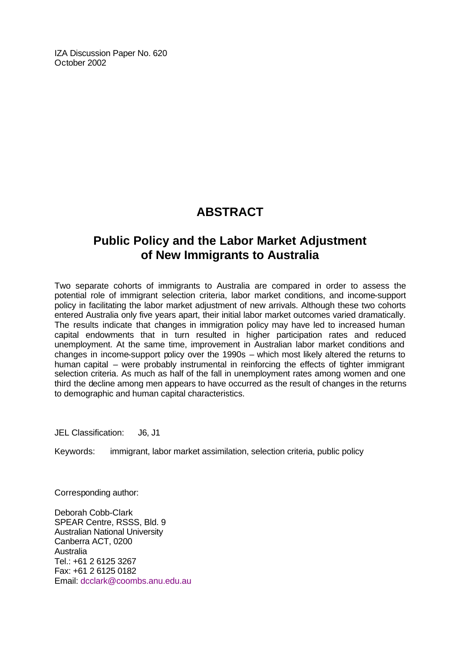IZA Discussion Paper No. 620 October 2002

# **ABSTRACT**

# **Public Policy and the Labor Market Adjustment of New Immigrants to Australia**

Two separate cohorts of immigrants to Australia are compared in order to assess the potential role of immigrant selection criteria, labor market conditions, and income-support policy in facilitating the labor market adjustment of new arrivals. Although these two cohorts entered Australia only five years apart, their initial labor market outcomes varied dramatically. The results indicate that changes in immigration policy may have led to increased human capital endowments that in turn resulted in higher participation rates and reduced unemployment. At the same time, improvement in Australian labor market conditions and changes in income-support policy over the 1990s – which most likely altered the returns to human capital – were probably instrumental in reinforcing the effects of tighter immigrant selection criteria. As much as half of the fall in unemployment rates among women and one third the decline among men appears to have occurred as the result of changes in the returns to demographic and human capital characteristics.

JEL Classification: J6, J1

Keywords: immigrant, labor market assimilation, selection criteria, public policy

Corresponding author:

Deborah Cobb-Clark SPEAR Centre, RSSS, Bld. 9 Australian National University Canberra ACT, 0200 Australia Tel.: +61 2 6125 3267 Fax: +61 2 6125 0182 Email: dcclark@coombs.anu.edu.au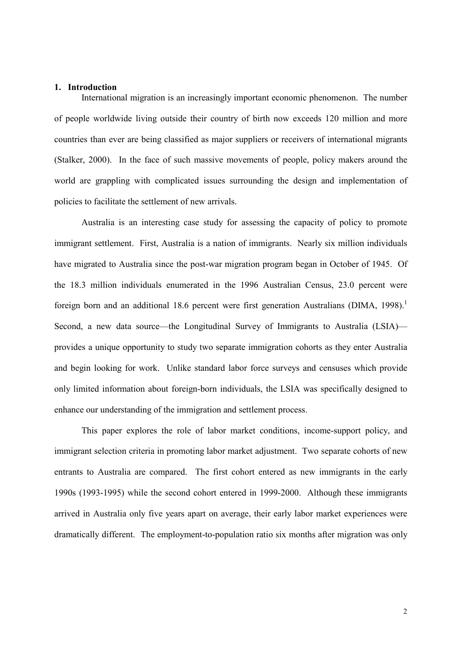#### **1. Introduction**

International migration is an increasingly important economic phenomenon. The number of people worldwide living outside their country of birth now exceeds 120 million and more countries than ever are being classified as major suppliers or receivers of international migrants (Stalker, 2000). In the face of such massive movements of people, policy makers around the world are grappling with complicated issues surrounding the design and implementation of policies to facilitate the settlement of new arrivals.

Australia is an interesting case study for assessing the capacity of policy to promote immigrant settlement. First, Australia is a nation of immigrants. Nearly six million individuals have migrated to Australia since the post-war migration program began in October of 1945. Of the 18.3 million individuals enumerated in the 1996 Australian Census, 23.0 percent were foreign born and an additional 18.6 percent were first generation Australians (DIMA, 1998).<sup>1</sup> Second, a new data source—the Longitudinal Survey of Immigrants to Australia (LSIA) provides a unique opportunity to study two separate immigration cohorts as they enter Australia and begin looking for work. Unlike standard labor force surveys and censuses which provide only limited information about foreign-born individuals, the LSIA was specifically designed to enhance our understanding of the immigration and settlement process.

This paper explores the role of labor market conditions, income-support policy, and immigrant selection criteria in promoting labor market adjustment. Two separate cohorts of new entrants to Australia are compared. The first cohort entered as new immigrants in the early 1990s (1993-1995) while the second cohort entered in 1999-2000. Although these immigrants arrived in Australia only five years apart on average, their early labor market experiences were dramatically different. The employment-to-population ratio six months after migration was only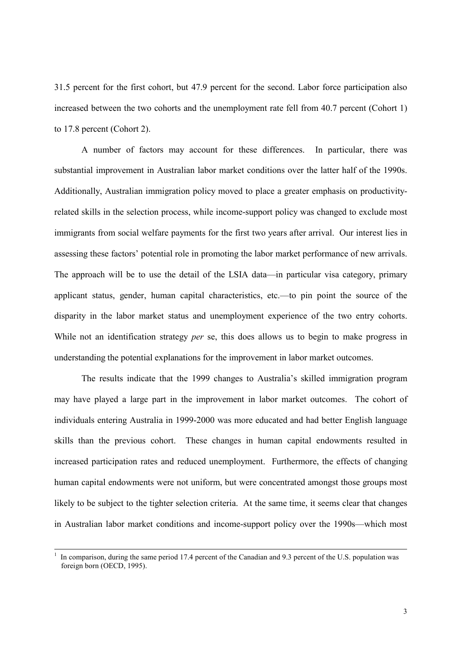31.5 percent for the first cohort, but 47.9 percent for the second. Labor force participation also increased between the two cohorts and the unemployment rate fell from 40.7 percent (Cohort 1) to 17.8 percent (Cohort 2).

A number of factors may account for these differences. In particular, there was substantial improvement in Australian labor market conditions over the latter half of the 1990s. Additionally, Australian immigration policy moved to place a greater emphasis on productivityrelated skills in the selection process, while income-support policy was changed to exclude most immigrants from social welfare payments for the first two years after arrival. Our interest lies in assessing these factors' potential role in promoting the labor market performance of new arrivals. The approach will be to use the detail of the LSIA data—in particular visa category, primary applicant status, gender, human capital characteristics, etc.—to pin point the source of the disparity in the labor market status and unemployment experience of the two entry cohorts. While not an identification strategy *per* se, this does allows us to begin to make progress in understanding the potential explanations for the improvement in labor market outcomes.

The results indicate that the 1999 changes to Australia's skilled immigration program may have played a large part in the improvement in labor market outcomes. The cohort of individuals entering Australia in 1999-2000 was more educated and had better English language skills than the previous cohort. These changes in human capital endowments resulted in increased participation rates and reduced unemployment. Furthermore, the effects of changing human capital endowments were not uniform, but were concentrated amongst those groups most likely to be subject to the tighter selection criteria. At the same time, it seems clear that changes in Australian labor market conditions and income-support policy over the 1990s—which most

<sup>&</sup>lt;sup>1</sup> In comparison, during the same period 17.4 percent of the Canadian and 9.3 percent of the U.S. population was foreign born (OECD, 1995).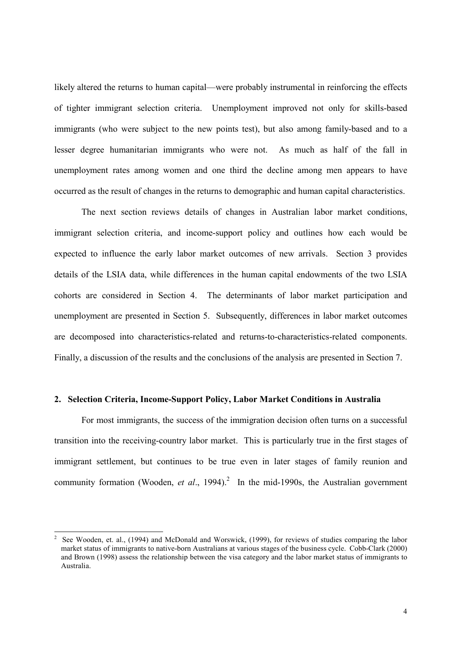likely altered the returns to human capital—were probably instrumental in reinforcing the effects of tighter immigrant selection criteria. Unemployment improved not only for skills-based immigrants (who were subject to the new points test), but also among family-based and to a lesser degree humanitarian immigrants who were not. As much as half of the fall in unemployment rates among women and one third the decline among men appears to have occurred as the result of changes in the returns to demographic and human capital characteristics.

The next section reviews details of changes in Australian labor market conditions, immigrant selection criteria, and income-support policy and outlines how each would be expected to influence the early labor market outcomes of new arrivals. Section 3 provides details of the LSIA data, while differences in the human capital endowments of the two LSIA cohorts are considered in Section 4. The determinants of labor market participation and unemployment are presented in Section 5. Subsequently, differences in labor market outcomes are decomposed into characteristics-related and returns-to-characteristics-related components. Finally, a discussion of the results and the conclusions of the analysis are presented in Section 7.

#### **2. Selection Criteria, Income-Support Policy, Labor Market Conditions in Australia**

For most immigrants, the success of the immigration decision often turns on a successful transition into the receiving-country labor market. This is particularly true in the first stages of immigrant settlement, but continues to be true even in later stages of family reunion and community formation (Wooden, *et al.*, 1994).<sup>2</sup> In the mid-1990s, the Australian government

<sup>2</sup> See Wooden, et. al., (1994) and McDonald and Worswick, (1999), for reviews of studies comparing the labor market status of immigrants to native-born Australians at various stages of the business cycle. Cobb-Clark (2000) and Brown (1998) assess the relationship between the visa category and the labor market status of immigrants to Australia.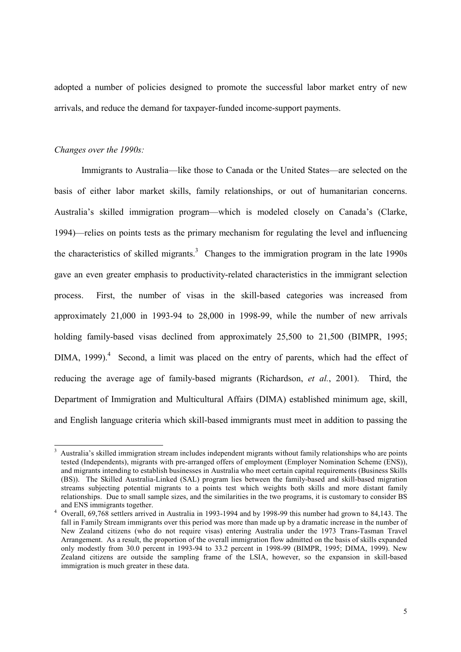adopted a number of policies designed to promote the successful labor market entry of new arrivals, and reduce the demand for taxpayer-funded income-support payments.

#### *Changes over the 1990s:*

1

Immigrants to Australia—like those to Canada or the United States—are selected on the basis of either labor market skills, family relationships, or out of humanitarian concerns. Australia's skilled immigration program—which is modeled closely on Canada's (Clarke, 1994)—relies on points tests as the primary mechanism for regulating the level and influencing the characteristics of skilled migrants.<sup>3</sup> Changes to the immigration program in the late 1990s gave an even greater emphasis to productivity-related characteristics in the immigrant selection process. First, the number of visas in the skill-based categories was increased from approximately 21,000 in 1993-94 to 28,000 in 1998-99, while the number of new arrivals holding family-based visas declined from approximately 25,500 to 21,500 (BIMPR, 1995; DIMA, 1999).<sup>4</sup> Second, a limit was placed on the entry of parents, which had the effect of reducing the average age of family-based migrants (Richardson, *et al.*, 2001). Third, the Department of Immigration and Multicultural Affairs (DIMA) established minimum age, skill, and English language criteria which skill-based immigrants must meet in addition to passing the

<sup>3</sup> Australia's skilled immigration stream includes independent migrants without family relationships who are points tested (Independents), migrants with pre-arranged offers of employment (Employer Nomination Scheme (ENS)), and migrants intending to establish businesses in Australia who meet certain capital requirements (Business Skills (BS)). The Skilled Australia-Linked (SAL) program lies between the family-based and skill-based migration streams subjecting potential migrants to a points test which weights both skills and more distant family relationships. Due to small sample sizes, and the similarities in the two programs, it is customary to consider BS and ENS immigrants together. 4

Overall, 69,768 settlers arrived in Australia in 1993-1994 and by 1998-99 this number had grown to 84,143. The fall in Family Stream immigrants over this period was more than made up by a dramatic increase in the number of New Zealand citizens (who do not require visas) entering Australia under the 1973 Trans-Tasman Travel Arrangement. As a result, the proportion of the overall immigration flow admitted on the basis of skills expanded only modestly from 30.0 percent in 1993-94 to 33.2 percent in 1998-99 (BIMPR, 1995; DIMA, 1999). New Zealand citizens are outside the sampling frame of the LSIA, however, so the expansion in skill-based immigration is much greater in these data.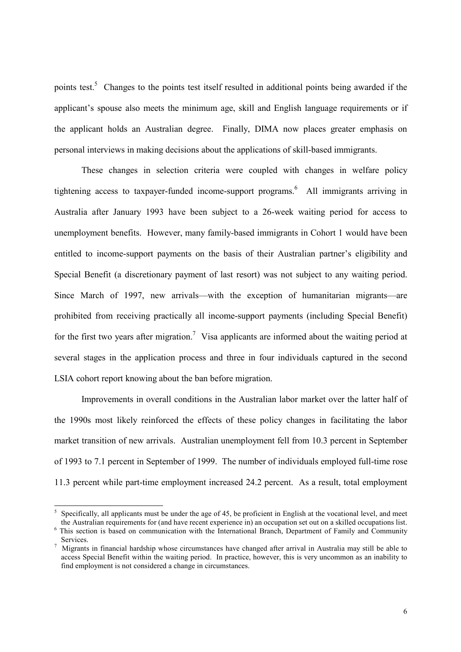points test.<sup>5</sup> Changes to the points test itself resulted in additional points being awarded if the applicant's spouse also meets the minimum age, skill and English language requirements or if the applicant holds an Australian degree. Finally, DIMA now places greater emphasis on personal interviews in making decisions about the applications of skill-based immigrants.

These changes in selection criteria were coupled with changes in welfare policy tightening access to taxpayer-funded income-support programs.<sup>6</sup> All immigrants arriving in Australia after January 1993 have been subject to a 26-week waiting period for access to unemployment benefits. However, many family-based immigrants in Cohort 1 would have been entitled to income-support payments on the basis of their Australian partner's eligibility and Special Benefit (a discretionary payment of last resort) was not subject to any waiting period. Since March of 1997, new arrivals—with the exception of humanitarian migrants—are prohibited from receiving practically all income-support payments (including Special Benefit) for the first two years after migration.<sup>7</sup> Visa applicants are informed about the waiting period at several stages in the application process and three in four individuals captured in the second LSIA cohort report knowing about the ban before migration.

Improvements in overall conditions in the Australian labor market over the latter half of the 1990s most likely reinforced the effects of these policy changes in facilitating the labor market transition of new arrivals. Australian unemployment fell from 10.3 percent in September of 1993 to 7.1 percent in September of 1999. The number of individuals employed full-time rose 11.3 percent while part-time employment increased 24.2 percent. As a result, total employment

 $\overline{a}$ 

<sup>5</sup> Specifically, all applicants must be under the age of 45, be proficient in English at the vocational level, and meet the Australian requirements for (and have recent experience in) an occupation set out on a skilled occupa

the Australian requirements for (and have recent experience in) an occupation set out on a skilled occupations list. 6 This section is based on communication with the International Branch, Department of Family and Community Services.

Migrants in financial hardship whose circumstances have changed after arrival in Australia may still be able to access Special Benefit within the waiting period. In practice, however, this is very uncommon as an inability to find employment is not considered a change in circumstances.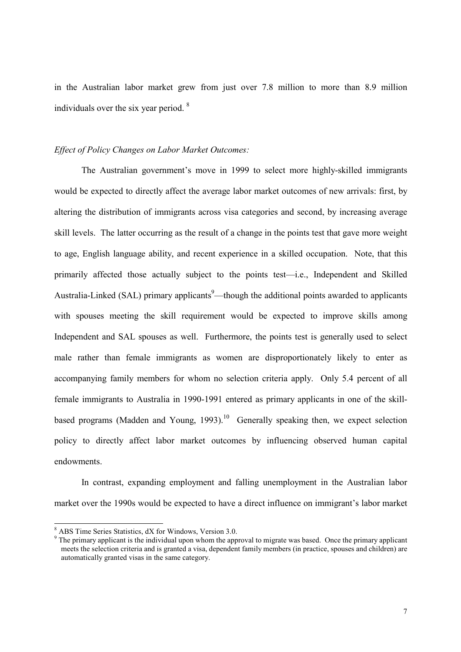in the Australian labor market grew from just over 7.8 million to more than 8.9 million individuals over the six year period. 8

# *Effect of Policy Changes on Labor Market Outcomes:*

 The Australian government's move in 1999 to select more highly-skilled immigrants would be expected to directly affect the average labor market outcomes of new arrivals: first, by altering the distribution of immigrants across visa categories and second, by increasing average skill levels. The latter occurring as the result of a change in the points test that gave more weight to age, English language ability, and recent experience in a skilled occupation. Note, that this primarily affected those actually subject to the points test—i.e., Independent and Skilled Australia-Linked (SAL) primary applicants<sup>9</sup>—though the additional points awarded to applicants with spouses meeting the skill requirement would be expected to improve skills among Independent and SAL spouses as well. Furthermore, the points test is generally used to select male rather than female immigrants as women are disproportionately likely to enter as accompanying family members for whom no selection criteria apply. Only 5.4 percent of all female immigrants to Australia in 1990-1991 entered as primary applicants in one of the skillbased programs (Madden and Young, 1993).<sup>10</sup> Generally speaking then, we expect selection policy to directly affect labor market outcomes by influencing observed human capital endowments.

 In contrast, expanding employment and falling unemployment in the Australian labor market over the 1990s would be expected to have a direct influence on immigrant's labor market

<sup>8</sup> ABS Time Series Statistics, dX for Windows, Version 3.0.

<sup>9</sup> The primary applicant is the individual upon whom the approval to migrate was based. Once the primary applicant meets the selection criteria and is granted a visa, dependent family members (in practice, spouses and children) are automatically granted visas in the same category.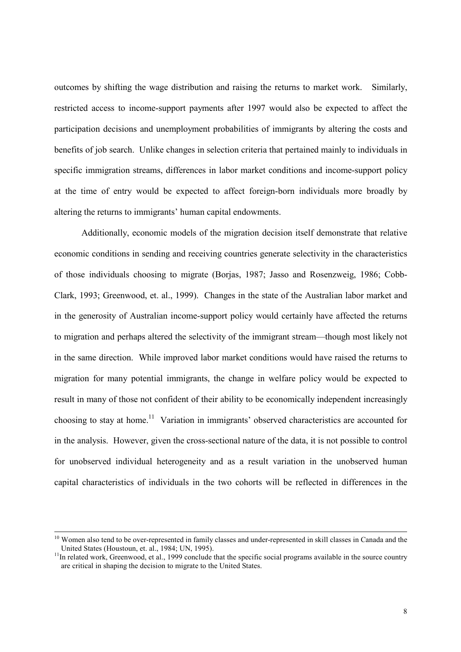outcomes by shifting the wage distribution and raising the returns to market work. Similarly, restricted access to income-support payments after 1997 would also be expected to affect the participation decisions and unemployment probabilities of immigrants by altering the costs and benefits of job search. Unlike changes in selection criteria that pertained mainly to individuals in specific immigration streams, differences in labor market conditions and income-support policy at the time of entry would be expected to affect foreign-born individuals more broadly by altering the returns to immigrants' human capital endowments.

Additionally, economic models of the migration decision itself demonstrate that relative economic conditions in sending and receiving countries generate selectivity in the characteristics of those individuals choosing to migrate (Borjas, 1987; Jasso and Rosenzweig, 1986; Cobb-Clark, 1993; Greenwood, et. al., 1999). Changes in the state of the Australian labor market and in the generosity of Australian income-support policy would certainly have affected the returns to migration and perhaps altered the selectivity of the immigrant stream—though most likely not in the same direction. While improved labor market conditions would have raised the returns to migration for many potential immigrants, the change in welfare policy would be expected to result in many of those not confident of their ability to be economically independent increasingly choosing to stay at home.11 Variation in immigrants' observed characteristics are accounted for in the analysis. However, given the cross-sectional nature of the data, it is not possible to control for unobserved individual heterogeneity and as a result variation in the unobserved human capital characteristics of individuals in the two cohorts will be reflected in differences in the

<sup>&</sup>lt;sup>10</sup> Women also tend to be over-represented in family classes and under-represented in skill classes in Canada and the United States (Houstoun, et. al., 1984; UN, 1995).

 $U<sub>1</sub>$  In related work, Greenwood, et al., 1999 conclude that the specific social programs available in the source country are critical in shaping the decision to migrate to the United States.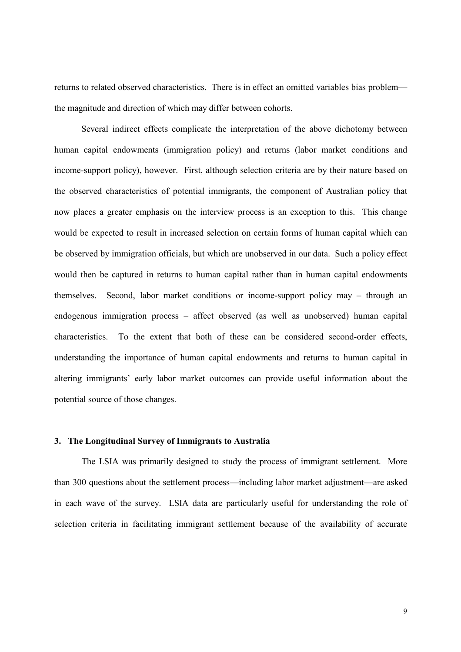returns to related observed characteristics. There is in effect an omitted variables bias problem the magnitude and direction of which may differ between cohorts.

 Several indirect effects complicate the interpretation of the above dichotomy between human capital endowments (immigration policy) and returns (labor market conditions and income-support policy), however. First, although selection criteria are by their nature based on the observed characteristics of potential immigrants, the component of Australian policy that now places a greater emphasis on the interview process is an exception to this. This change would be expected to result in increased selection on certain forms of human capital which can be observed by immigration officials, but which are unobserved in our data. Such a policy effect would then be captured in returns to human capital rather than in human capital endowments themselves. Second, labor market conditions or income-support policy may – through an endogenous immigration process – affect observed (as well as unobserved) human capital characteristics. To the extent that both of these can be considered second-order effects, understanding the importance of human capital endowments and returns to human capital in altering immigrants' early labor market outcomes can provide useful information about the potential source of those changes.

#### **3. The Longitudinal Survey of Immigrants to Australia**

The LSIA was primarily designed to study the process of immigrant settlement. More than 300 questions about the settlement process—including labor market adjustment—are asked in each wave of the survey. LSIA data are particularly useful for understanding the role of selection criteria in facilitating immigrant settlement because of the availability of accurate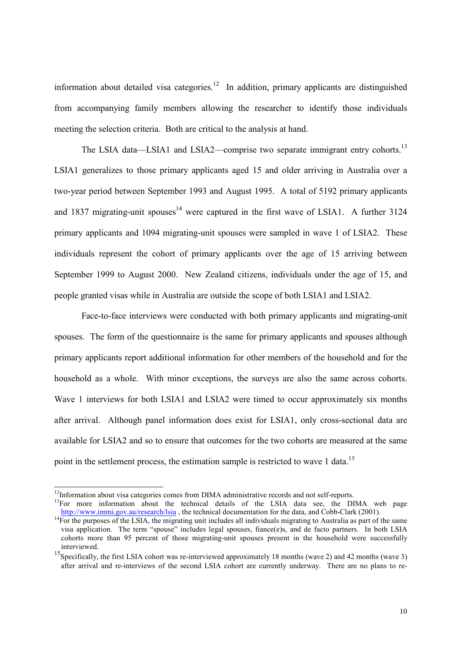information about detailed visa categories.<sup>12</sup> In addition, primary applicants are distinguished from accompanying family members allowing the researcher to identify those individuals meeting the selection criteria. Both are critical to the analysis at hand.

The LSIA data—LSIA1 and LSIA2—comprise two separate immigrant entry cohorts.<sup>13</sup> LSIA1 generalizes to those primary applicants aged 15 and older arriving in Australia over a two-year period between September 1993 and August 1995. A total of 5192 primary applicants and 1837 migrating-unit spouses<sup>14</sup> were captured in the first wave of LSIA1. A further  $3124$ primary applicants and 1094 migrating-unit spouses were sampled in wave 1 of LSIA2. These individuals represent the cohort of primary applicants over the age of 15 arriving between September 1999 to August 2000. New Zealand citizens, individuals under the age of 15, and people granted visas while in Australia are outside the scope of both LSIA1 and LSIA2.

Face-to-face interviews were conducted with both primary applicants and migrating-unit spouses. The form of the questionnaire is the same for primary applicants and spouses although primary applicants report additional information for other members of the household and for the household as a whole. With minor exceptions, the surveys are also the same across cohorts. Wave 1 interviews for both LSIA1 and LSIA2 were timed to occur approximately six months after arrival. Although panel information does exist for LSIA1, only cross-sectional data are available for LSIA2 and so to ensure that outcomes for the two cohorts are measured at the same point in the settlement process, the estimation sample is restricted to wave 1 data.<sup>15</sup>

<sup>&</sup>lt;sup>12</sup>Information about visa categories comes from DIMA administrative records and not self-reports.<br><sup>13</sup>For more information about the technical details of the LSIA data see, the DIMA web page  $\frac{http://www.immi.gov.au/research/Isia}{14}$ , the technical documentation for the data, and Cobb-Clark (2001).

visa application. The term "spouse" includes legal spouses, fiance(e)s, and de facto partners. In both LSIA cohorts more than 95 percent of those migrating-unit spouses present in the household were successfully interviewed.

<sup>&</sup>lt;sup>15</sup>Specifically, the first LSIA cohort was re-interviewed approximately 18 months (wave 2) and 42 months (wave 3) after arrival and re-interviews of the second LSIA cohort are currently underway. There are no plans to re-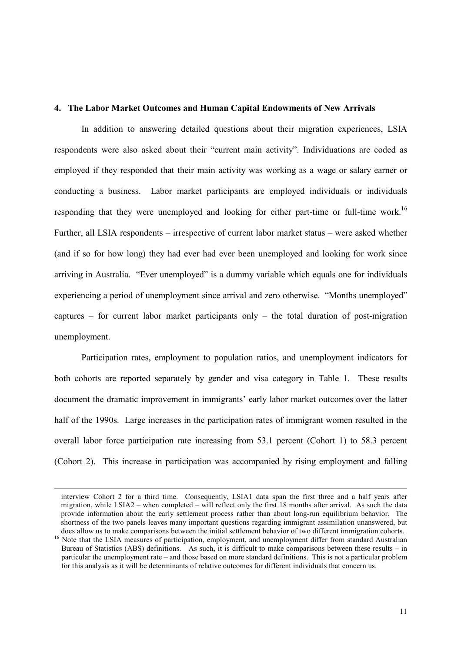## **4. The Labor Market Outcomes and Human Capital Endowments of New Arrivals**

In addition to answering detailed questions about their migration experiences, LSIA respondents were also asked about their "current main activity". Individuations are coded as employed if they responded that their main activity was working as a wage or salary earner or conducting a business. Labor market participants are employed individuals or individuals responding that they were unemployed and looking for either part-time or full-time work.<sup>16</sup> Further, all LSIA respondents – irrespective of current labor market status – were asked whether (and if so for how long) they had ever had ever been unemployed and looking for work since arriving in Australia. "Ever unemployed" is a dummy variable which equals one for individuals experiencing a period of unemployment since arrival and zero otherwise. "Months unemployed" captures – for current labor market participants only – the total duration of post-migration unemployment.

Participation rates, employment to population ratios, and unemployment indicators for both cohorts are reported separately by gender and visa category in Table 1. These results document the dramatic improvement in immigrants' early labor market outcomes over the latter half of the 1990s. Large increases in the participation rates of immigrant women resulted in the overall labor force participation rate increasing from 53.1 percent (Cohort 1) to 58.3 percent (Cohort 2). This increase in participation was accompanied by rising employment and falling

interview Cohort 2 for a third time. Consequently, LSIA1 data span the first three and a half years after migration, while LSIA2 – when completed – will reflect only the first 18 months after arrival. As such the data provide information about the early settlement process rather than about long-run equilibrium behavior. The shortness of the two panels leaves many important questions regarding immigrant assimilation unanswered, but does allow us to make comparisons between the initial settlement behavior of two different immigration cohorts.

 $\frac{16}{16}$  Note that the LSIA measures of participation, employment, and unemployment differ from standard Australian Bureau of Statistics (ABS) definitions. As such, it is difficult to make comparisons between these results – in particular the unemployment rate – and those based on more standard definitions. This is not a particular problem for this analysis as it will be determinants of relative outcomes for different individuals that concern us.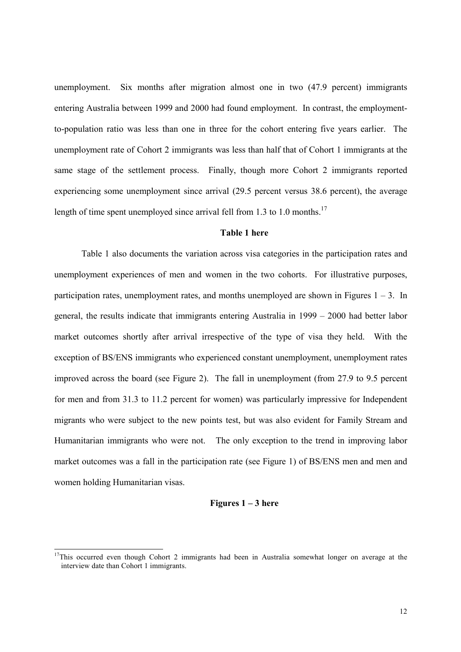unemployment. Six months after migration almost one in two (47.9 percent) immigrants entering Australia between 1999 and 2000 had found employment. In contrast, the employmentto-population ratio was less than one in three for the cohort entering five years earlier. The unemployment rate of Cohort 2 immigrants was less than half that of Cohort 1 immigrants at the same stage of the settlement process. Finally, though more Cohort 2 immigrants reported experiencing some unemployment since arrival (29.5 percent versus 38.6 percent), the average length of time spent unemployed since arrival fell from 1.3 to 1.0 months.<sup>17</sup>

# **Table 1 here**

Table 1 also documents the variation across visa categories in the participation rates and unemployment experiences of men and women in the two cohorts. For illustrative purposes, participation rates, unemployment rates, and months unemployed are shown in Figures  $1 - 3$ . In general, the results indicate that immigrants entering Australia in 1999 – 2000 had better labor market outcomes shortly after arrival irrespective of the type of visa they held. With the exception of BS/ENS immigrants who experienced constant unemployment, unemployment rates improved across the board (see Figure 2). The fall in unemployment (from 27.9 to 9.5 percent for men and from 31.3 to 11.2 percent for women) was particularly impressive for Independent migrants who were subject to the new points test, but was also evident for Family Stream and Humanitarian immigrants who were not. The only exception to the trend in improving labor market outcomes was a fall in the participation rate (see Figure 1) of BS/ENS men and men and women holding Humanitarian visas.

#### **Figures 1 – 3 here**

 $17$ This occurred even though Cohort 2 immigrants had been in Australia somewhat longer on average at the interview date than Cohort 1 immigrants.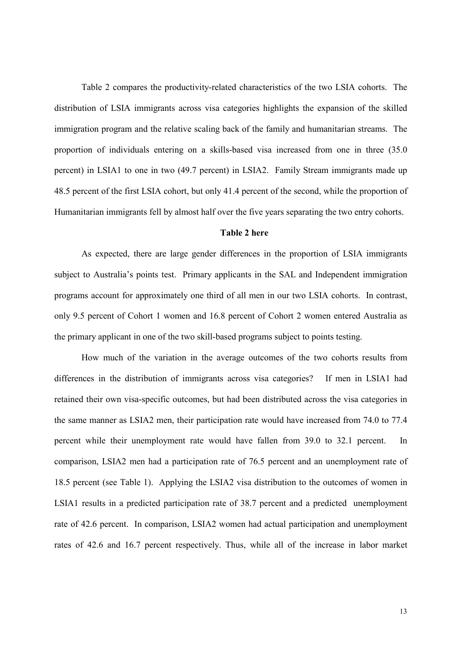Table 2 compares the productivity-related characteristics of the two LSIA cohorts. The distribution of LSIA immigrants across visa categories highlights the expansion of the skilled immigration program and the relative scaling back of the family and humanitarian streams. The proportion of individuals entering on a skills-based visa increased from one in three (35.0 percent) in LSIA1 to one in two (49.7 percent) in LSIA2. Family Stream immigrants made up 48.5 percent of the first LSIA cohort, but only 41.4 percent of the second, while the proportion of Humanitarian immigrants fell by almost half over the five years separating the two entry cohorts.

# **Table 2 here**

As expected, there are large gender differences in the proportion of LSIA immigrants subject to Australia's points test. Primary applicants in the SAL and Independent immigration programs account for approximately one third of all men in our two LSIA cohorts. In contrast, only 9.5 percent of Cohort 1 women and 16.8 percent of Cohort 2 women entered Australia as the primary applicant in one of the two skill-based programs subject to points testing.

How much of the variation in the average outcomes of the two cohorts results from differences in the distribution of immigrants across visa categories? If men in LSIA1 had retained their own visa-specific outcomes, but had been distributed across the visa categories in the same manner as LSIA2 men, their participation rate would have increased from 74.0 to 77.4 percent while their unemployment rate would have fallen from 39.0 to 32.1 percent. In comparison, LSIA2 men had a participation rate of 76.5 percent and an unemployment rate of 18.5 percent (see Table 1). Applying the LSIA2 visa distribution to the outcomes of women in LSIA1 results in a predicted participation rate of 38.7 percent and a predicted unemployment rate of 42.6 percent. In comparison, LSIA2 women had actual participation and unemployment rates of 42.6 and 16.7 percent respectively. Thus, while all of the increase in labor market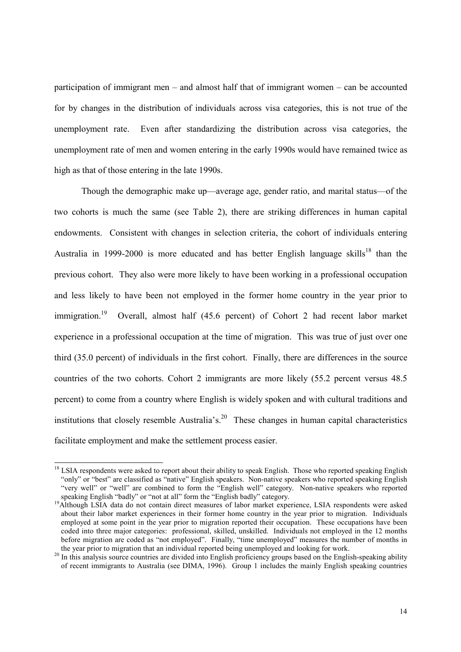participation of immigrant men – and almost half that of immigrant women – can be accounted for by changes in the distribution of individuals across visa categories, this is not true of the unemployment rate. Even after standardizing the distribution across visa categories, the unemployment rate of men and women entering in the early 1990s would have remained twice as high as that of those entering in the late 1990s.

Though the demographic make up—average age, gender ratio, and marital status—of the two cohorts is much the same (see Table 2), there are striking differences in human capital endowments. Consistent with changes in selection criteria, the cohort of individuals entering Australia in 1999-2000 is more educated and has better English language skills<sup>18</sup> than the previous cohort. They also were more likely to have been working in a professional occupation and less likely to have been not employed in the former home country in the year prior to immigration.<sup>19</sup> Overall, almost half  $(45.6$  percent) of Cohort 2 had recent labor market experience in a professional occupation at the time of migration. This was true of just over one third (35.0 percent) of individuals in the first cohort. Finally, there are differences in the source countries of the two cohorts. Cohort 2 immigrants are more likely (55.2 percent versus 48.5 percent) to come from a country where English is widely spoken and with cultural traditions and institutions that closely resemble Australia's.<sup>20</sup> These changes in human capital characteristics facilitate employment and make the settlement process easier.

<sup>&</sup>lt;sup>18</sup> LSIA respondents were asked to report about their ability to speak English. Those who reported speaking English "only" or "best" are classified as "native" English speakers. Non-native speakers who reported speaking English "very well" or "well" are combined to form the "English well" category. Non-native speakers who reported speaking English "badly" or "not at all" form the "English badly" category.

<sup>&</sup>lt;sup>19</sup>Although LSIA data do not contain direct measures of labor market experience, LSIA respondents were asked about their labor market experiences in their former home country in the year prior to migration. Individuals employed at some point in the year prior to migration reported their occupation. These occupations have been coded into three major categories: professional, skilled, unskilled. Individuals not employed in the 12 months before migration are coded as "not employed". Finally, "time unemployed" measures the number of months in the year prior to migration that an individual reported being unemployed and looking for work.

<sup>&</sup>lt;sup>20</sup> In this analysis source countries are divided into English proficiency groups based on the English-speaking ability of recent immigrants to Australia (see DIMA, 1996). Group 1 includes the mainly English speaking countries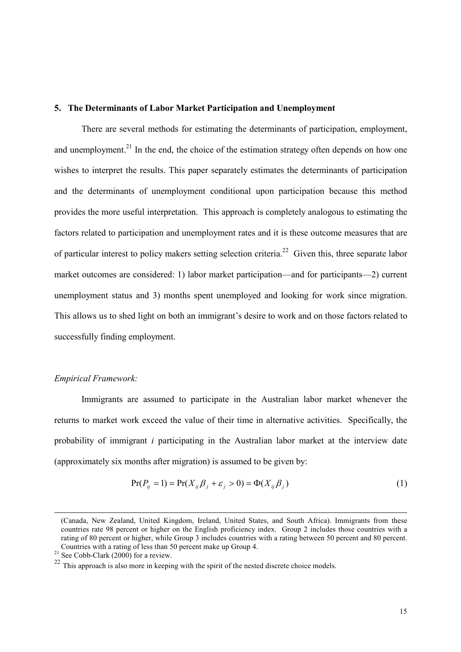## **5. The Determinants of Labor Market Participation and Unemployment**

There are several methods for estimating the determinants of participation, employment, and unemployment.<sup>21</sup> In the end, the choice of the estimation strategy often depends on how one wishes to interpret the results. This paper separately estimates the determinants of participation and the determinants of unemployment conditional upon participation because this method provides the more useful interpretation. This approach is completely analogous to estimating the factors related to participation and unemployment rates and it is these outcome measures that are of particular interest to policy makers setting selection criteria.<sup>22</sup> Given this, three separate labor market outcomes are considered: 1) labor market participation—and for participants—2) current unemployment status and 3) months spent unemployed and looking for work since migration. This allows us to shed light on both an immigrant's desire to work and on those factors related to successfully finding employment.

#### *Empirical Framework:*

Immigrants are assumed to participate in the Australian labor market whenever the returns to market work exceed the value of their time in alternative activities. Specifically, the probability of immigrant *i* participating in the Australian labor market at the interview date (approximately six months after migration) is assumed to be given by:

$$
Pr(P_{ij} = 1) = Pr(X_{ij} \beta_j + \varepsilon_j > 0) = \Phi(X_{ij} \beta_j) \tag{1}
$$

 $\overline{a}$ 

<sup>(</sup>Canada, New Zealand, United Kingdom, Ireland, United States, and South Africa). Immigrants from these countries rate 98 percent or higher on the English proficiency index. Group 2 includes those countries with a rating of 80 percent or higher, while Group 3 includes countries with a rating between 50 percent and 80 percent. Countries with a rating of less than 50 percent make up Group 4. 21 See Cobb-Clark (2000) for a review.

<sup>&</sup>lt;sup>22</sup> This approach is also more in keeping with the spirit of the nested discrete choice models.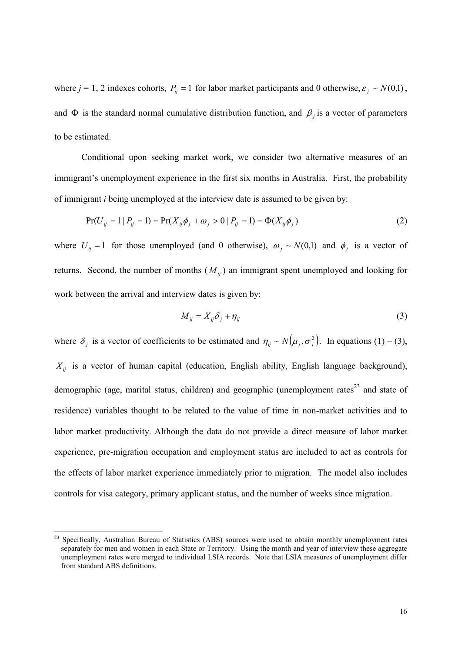where  $j = 1$ , 2 indexes cohorts,  $P_{ij} = 1$  for labor market participants and 0 otherwise,  $\varepsilon_j \sim N(0,1)$ , and  $\Phi$  is the standard normal cumulative distribution function, and  $\beta$  is a vector of parameters to be estimated.

Conditional upon seeking market work, we consider two alternative measures of an immigrant's unemployment experience in the first six months in Australia. First, the probability of immigrant *i* being unemployed at the interview date is assumed to be given by:

$$
Pr(U_{ij} = 1 | P_{ij} = 1) = Pr(X_{ij} \phi_j + \omega_j > 0 | P_{ij} = 1) = \Phi(X_{ij} \phi_j)
$$
\n(2)

where  $U_{ij} = 1$  for those unemployed (and 0 otherwise),  $\omega_j \sim N(0,1)$  and  $\phi_j$  is a vector of returns. Second, the number of months  $(M_{ij})$  an immigrant spent unemployed and looking for work between the arrival and interview dates is given by:

$$
M_{ij} = X_{ij}\delta_j + \eta_{ij} \tag{3}
$$

where  $\delta_j$  is a vector of coefficients to be estimated and  $\eta_{ij} \sim N(\mu_j, \sigma_j^2)$ . In equations (1) – (3),  $X_{ij}$  is a vector of human capital (education, English ability, English language background), demographic (age, marital status, children) and geographic (unemployment rates $^{23}$  and state of residence) variables thought to be related to the value of time in non-market activities and to labor market productivity. Although the data do not provide a direct measure of labor market experience, pre-migration occupation and employment status are included to act as controls for the effects of labor market experience immediately prior to migration. The model also includes controls for visa category, primary applicant status, and the number of weeks since migration.

 $23$ Specifically, Australian Bureau of Statistics (ABS) sources were used to obtain monthly unemployment rates separately for men and women in each State or Territory. Using the month and year of interview these aggregate unemployment rates were merged to individual LSIA records. Note that LSIA measures of unemployment differ from standard ABS definitions.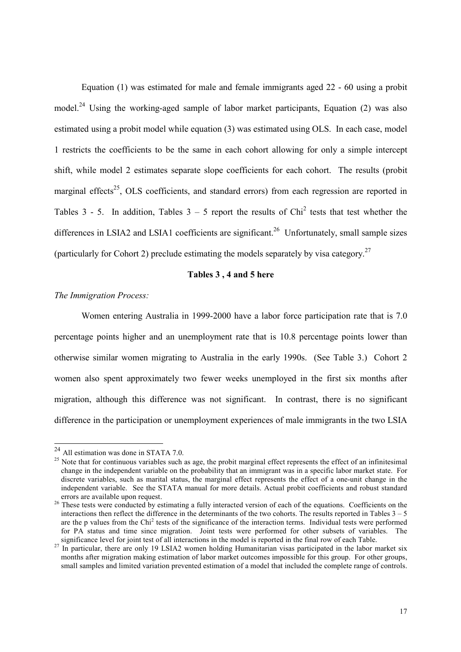Equation (1) was estimated for male and female immigrants aged 22 - 60 using a probit model.<sup>24</sup> Using the working-aged sample of labor market participants, Equation (2) was also estimated using a probit model while equation (3) was estimated using OLS. In each case, model 1 restricts the coefficients to be the same in each cohort allowing for only a simple intercept shift, while model 2 estimates separate slope coefficients for each cohort. The results (probit marginal effects<sup>25</sup>. OLS coefficients, and standard errors) from each regression are reported in Tables 3 - 5. In addition, Tables  $3 - 5$  report the results of Chi<sup>2</sup> tests that test whether the differences in LSIA2 and LSIA1 coefficients are significant.<sup>26</sup> Unfortunately, small sample sizes (particularly for Cohort 2) preclude estimating the models separately by visa category.<sup>27</sup>

### **Tables 3 , 4 and 5 here**

## *The Immigration Process:*

Women entering Australia in 1999-2000 have a labor force participation rate that is 7.0 percentage points higher and an unemployment rate that is 10.8 percentage points lower than otherwise similar women migrating to Australia in the early 1990s. (See Table 3.) Cohort 2 women also spent approximately two fewer weeks unemployed in the first six months after migration, although this difference was not significant. In contrast, there is no significant difference in the participation or unemployment experiences of male immigrants in the two LSIA

 $24$  All estimation was done in STATA 7.0.

 $^{25}$  Note that for continuous variables such as age, the probit marginal effect represents the effect of an infinitesimal change in the independent variable on the probability that an immigrant was in a specific labor market state. For discrete variables, such as marital status, the marginal effect represents the effect of a one-unit change in the independent variable. See the STATA manual for more details. Actual probit coefficients and robust standard

<sup>&</sup>lt;sup>26</sup> These tests were conducted by estimating a fully interacted version of each of the equations. Coefficients on the interactions then reflect the difference in the determinants of the two cohorts. The results reported in Tables  $3 - 5$ are the p values from the Chi<sup>2</sup> tests of the significance of the interaction terms. Individual tests were performed for PA status and time since migration. Joint tests were performed for other subsets of variables. The significance level for joint test of all interactions in the model is reported in the final row of each Table.

 $\frac{27}{27}$  In particular, there are only 19 LSIA2 women holding Humanitarian visas participated in the labor market six months after migration making estimation of labor market outcomes impossible for this group. For other groups, small samples and limited variation prevented estimation of a model that included the complete range of controls.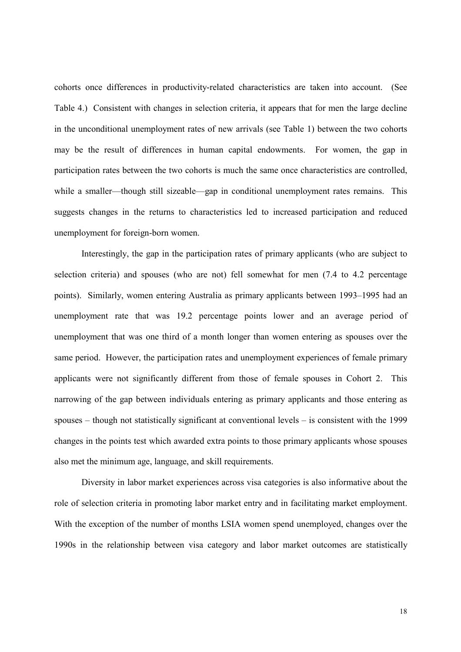cohorts once differences in productivity-related characteristics are taken into account. (See Table 4.) Consistent with changes in selection criteria, it appears that for men the large decline in the unconditional unemployment rates of new arrivals (see Table 1) between the two cohorts may be the result of differences in human capital endowments. For women, the gap in participation rates between the two cohorts is much the same once characteristics are controlled, while a smaller—though still sizeable—gap in conditional unemployment rates remains. This suggests changes in the returns to characteristics led to increased participation and reduced unemployment for foreign-born women.

 Interestingly, the gap in the participation rates of primary applicants (who are subject to selection criteria) and spouses (who are not) fell somewhat for men (7.4 to 4.2 percentage points). Similarly, women entering Australia as primary applicants between 1993–1995 had an unemployment rate that was 19.2 percentage points lower and an average period of unemployment that was one third of a month longer than women entering as spouses over the same period. However, the participation rates and unemployment experiences of female primary applicants were not significantly different from those of female spouses in Cohort 2. This narrowing of the gap between individuals entering as primary applicants and those entering as spouses – though not statistically significant at conventional levels – is consistent with the 1999 changes in the points test which awarded extra points to those primary applicants whose spouses also met the minimum age, language, and skill requirements.

Diversity in labor market experiences across visa categories is also informative about the role of selection criteria in promoting labor market entry and in facilitating market employment. With the exception of the number of months LSIA women spend unemployed, changes over the 1990s in the relationship between visa category and labor market outcomes are statistically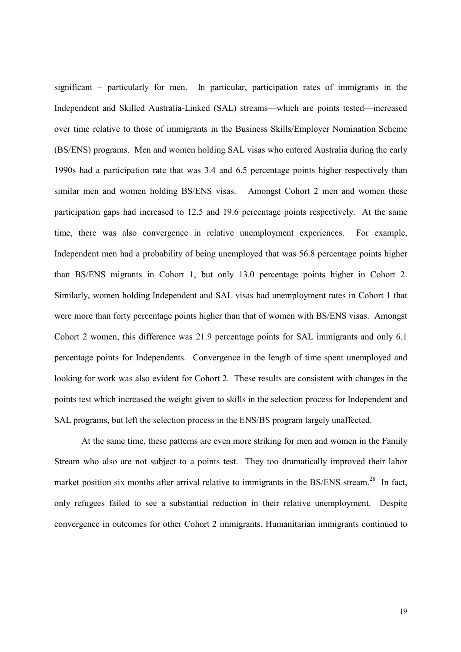significant – particularly for men. In particular, participation rates of immigrants in the Independent and Skilled Australia-Linked (SAL) streams—which are points tested—increased over time relative to those of immigrants in the Business Skills/Employer Nomination Scheme (BS/ENS) programs. Men and women holding SAL visas who entered Australia during the early 1990s had a participation rate that was 3.4 and 6.5 percentage points higher respectively than similar men and women holding BS/ENS visas. Amongst Cohort 2 men and women these participation gaps had increased to 12.5 and 19.6 percentage points respectively. At the same time, there was also convergence in relative unemployment experiences. For example, Independent men had a probability of being unemployed that was 56.8 percentage points higher than BS/ENS migrants in Cohort 1, but only 13.0 percentage points higher in Cohort 2. Similarly, women holding Independent and SAL visas had unemployment rates in Cohort 1 that were more than forty percentage points higher than that of women with BS/ENS visas. Amongst Cohort 2 women, this difference was 21.9 percentage points for SAL immigrants and only 6.1 percentage points for Independents. Convergence in the length of time spent unemployed and looking for work was also evident for Cohort 2. These results are consistent with changes in the points test which increased the weight given to skills in the selection process for Independent and SAL programs, but left the selection process in the ENS/BS program largely unaffected.

At the same time, these patterns are even more striking for men and women in the Family Stream who also are not subject to a points test. They too dramatically improved their labor market position six months after arrival relative to immigrants in the BS/ENS stream.<sup>28</sup> In fact, only refugees failed to see a substantial reduction in their relative unemployment. Despite convergence in outcomes for other Cohort 2 immigrants, Humanitarian immigrants continued to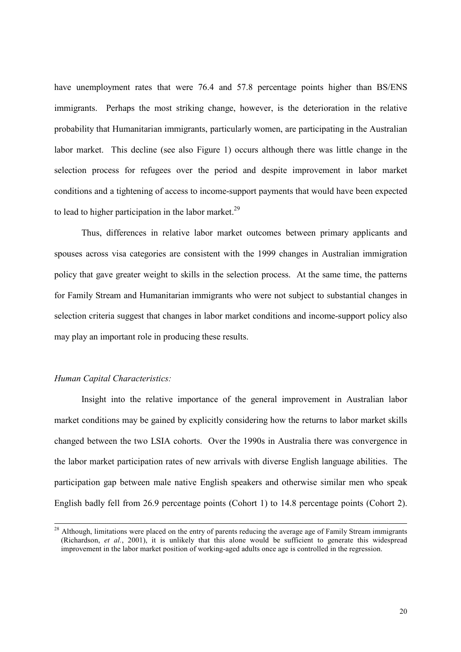have unemployment rates that were 76.4 and 57.8 percentage points higher than BS/ENS immigrants. Perhaps the most striking change, however, is the deterioration in the relative probability that Humanitarian immigrants, particularly women, are participating in the Australian labor market. This decline (see also Figure 1) occurs although there was little change in the selection process for refugees over the period and despite improvement in labor market conditions and a tightening of access to income-support payments that would have been expected to lead to higher participation in the labor market.<sup>29</sup>

Thus, differences in relative labor market outcomes between primary applicants and spouses across visa categories are consistent with the 1999 changes in Australian immigration policy that gave greater weight to skills in the selection process. At the same time, the patterns for Family Stream and Humanitarian immigrants who were not subject to substantial changes in selection criteria suggest that changes in labor market conditions and income-support policy also may play an important role in producing these results.

### *Human Capital Characteristics:*

Insight into the relative importance of the general improvement in Australian labor market conditions may be gained by explicitly considering how the returns to labor market skills changed between the two LSIA cohorts. Over the 1990s in Australia there was convergence in the labor market participation rates of new arrivals with diverse English language abilities. The participation gap between male native English speakers and otherwise similar men who speak English badly fell from 26.9 percentage points (Cohort 1) to 14.8 percentage points (Cohort 2).

<sup>&</sup>lt;sup>28</sup> Although, limitations were placed on the entry of parents reducing the average age of Family Stream immigrants (Richardson, *et al.*, 2001), it is unlikely that this alone would be sufficient to generate this widespread improvement in the labor market position of working-aged adults once age is controlled in the regression.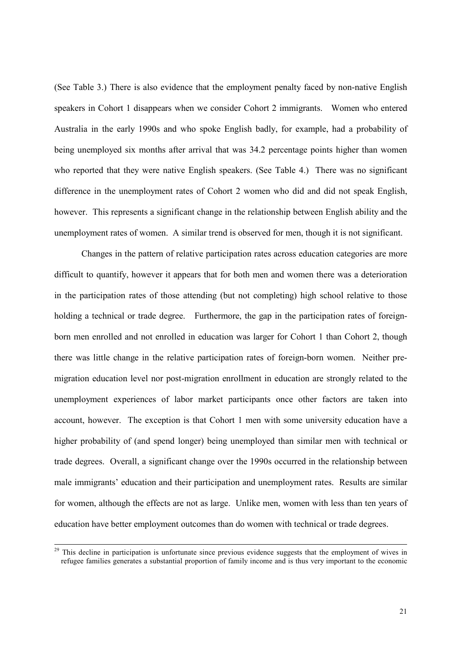(See Table 3.) There is also evidence that the employment penalty faced by non-native English speakers in Cohort 1 disappears when we consider Cohort 2 immigrants. Women who entered Australia in the early 1990s and who spoke English badly, for example, had a probability of being unemployed six months after arrival that was 34.2 percentage points higher than women who reported that they were native English speakers. (See Table 4.) There was no significant difference in the unemployment rates of Cohort 2 women who did and did not speak English, however. This represents a significant change in the relationship between English ability and the unemployment rates of women. A similar trend is observed for men, though it is not significant.

Changes in the pattern of relative participation rates across education categories are more difficult to quantify, however it appears that for both men and women there was a deterioration in the participation rates of those attending (but not completing) high school relative to those holding a technical or trade degree. Furthermore, the gap in the participation rates of foreignborn men enrolled and not enrolled in education was larger for Cohort 1 than Cohort 2, though there was little change in the relative participation rates of foreign-born women. Neither premigration education level nor post-migration enrollment in education are strongly related to the unemployment experiences of labor market participants once other factors are taken into account, however. The exception is that Cohort 1 men with some university education have a higher probability of (and spend longer) being unemployed than similar men with technical or trade degrees. Overall, a significant change over the 1990s occurred in the relationship between male immigrants' education and their participation and unemployment rates. Results are similar for women, although the effects are not as large. Unlike men, women with less than ten years of education have better employment outcomes than do women with technical or trade degrees.

<sup>&</sup>lt;sup>29</sup> This decline in participation is unfortunate since previous evidence suggests that the employment of wives in refugee families generates a substantial proportion of family income and is thus very important to the economic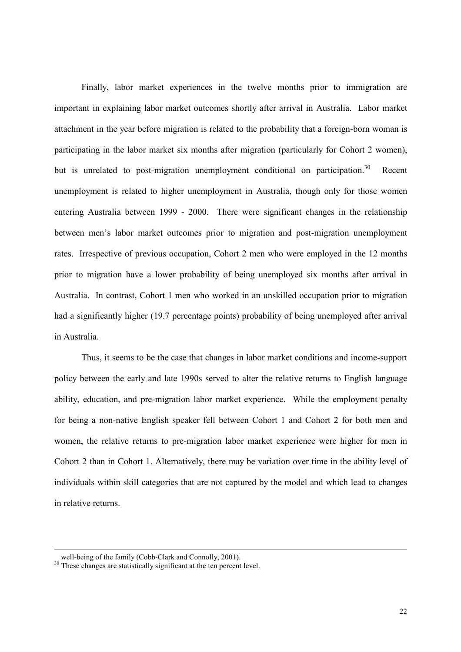Finally, labor market experiences in the twelve months prior to immigration are important in explaining labor market outcomes shortly after arrival in Australia. Labor market attachment in the year before migration is related to the probability that a foreign-born woman is participating in the labor market six months after migration (particularly for Cohort 2 women), but is unrelated to post-migration unemployment conditional on participation.<sup>30</sup> Recent unemployment is related to higher unemployment in Australia, though only for those women entering Australia between 1999 - 2000. There were significant changes in the relationship between men's labor market outcomes prior to migration and post-migration unemployment rates. Irrespective of previous occupation, Cohort 2 men who were employed in the 12 months prior to migration have a lower probability of being unemployed six months after arrival in Australia. In contrast, Cohort 1 men who worked in an unskilled occupation prior to migration had a significantly higher (19.7 percentage points) probability of being unemployed after arrival in Australia.

Thus, it seems to be the case that changes in labor market conditions and income-support policy between the early and late 1990s served to alter the relative returns to English language ability, education, and pre-migration labor market experience. While the employment penalty for being a non-native English speaker fell between Cohort 1 and Cohort 2 for both men and women, the relative returns to pre-migration labor market experience were higher for men in Cohort 2 than in Cohort 1. Alternatively, there may be variation over time in the ability level of individuals within skill categories that are not captured by the model and which lead to changes in relative returns.

well-being of the family (Cobb-Clark and Connolly, 2001).<br><sup>30</sup> These changes are statistically significant at the ten percent level.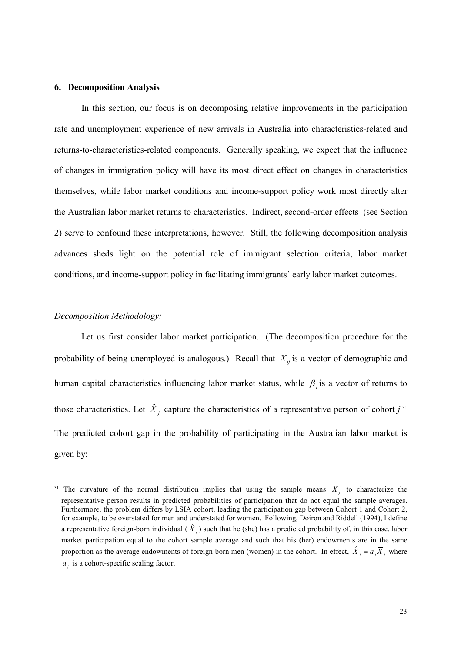#### **6. Decomposition Analysis**

In this section, our focus is on decomposing relative improvements in the participation rate and unemployment experience of new arrivals in Australia into characteristics-related and returns-to-characteristics-related components. Generally speaking, we expect that the influence of changes in immigration policy will have its most direct effect on changes in characteristics themselves, while labor market conditions and income-support policy work most directly alter the Australian labor market returns to characteristics. Indirect, second-order effects (see Section 2) serve to confound these interpretations, however. Still, the following decomposition analysis advances sheds light on the potential role of immigrant selection criteria, labor market conditions, and income-support policy in facilitating immigrants' early labor market outcomes.

#### *Decomposition Methodology:*

1

Let us first consider labor market participation. (The decomposition procedure for the probability of being unemployed is analogous.) Recall that  $X_{ij}$  is a vector of demographic and human capital characteristics influencing labor market status, while  $\beta_i$  is a vector of returns to those characteristics. Let  $\hat{X}_i$  capture the characteristics of a representative person of cohort  $j$ .<sup>31</sup> The predicted cohort gap in the probability of participating in the Australian labor market is given by:

<sup>&</sup>lt;sup>31</sup> The curvature of the normal distribution implies that using the sample means  $\overline{X}_i$  to characterize the representative person results in predicted probabilities of participation that do not equal the sample averages. Furthermore, the problem differs by LSIA cohort, leading the participation gap between Cohort 1 and Cohort 2, for example, to be overstated for men and understated for women. Following, Doiron and Riddell (1994), I define a representative foreign-born individual  $(\hat{X}_j)$  such that he (she) has a predicted probability of, in this case, labor market participation equal to the cohort sample average and such that his (her) endowments are in the same proportion as the average endowments of foreign-born men (women) in the cohort. In effect,  $\hat{X}_i = a_i \overline{X}_i$  where *a*, is a cohort-specific scaling factor.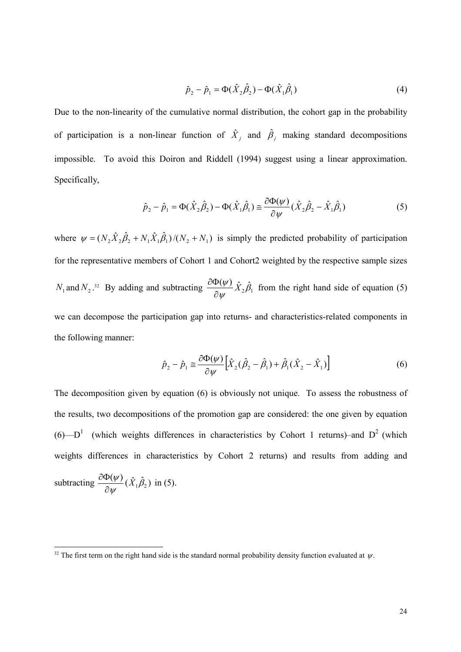$$
\hat{p}_2 - \hat{p}_1 = \Phi(\hat{X}_2 \hat{\beta}_2) - \Phi(\hat{X}_1 \hat{\beta}_1)
$$
\n(4)

Due to the non-linearity of the cumulative normal distribution, the cohort gap in the probability of participation is a non-linear function of  $\hat{X}_j$  and  $\hat{\beta}_j$  making standard decompositions impossible. To avoid this Doiron and Riddell (1994) suggest using a linear approximation. Specifically,

$$
\hat{p}_2 - \hat{p}_1 = \Phi(\hat{X}_2 \hat{\beta}_2) - \Phi(\hat{X}_1 \hat{\beta}_1) \cong \frac{\partial \Phi(\psi)}{\partial \psi} (\hat{X}_2 \hat{\beta}_2 - \hat{X}_1 \hat{\beta}_1)
$$
(5)

where  $\psi = (N_2 \hat{X}_2 \hat{\beta}_2 + N_1 \hat{X}_1 \hat{\beta}_1)/(N_2 + N_1)$  is simply the predicted probability of participation for the representative members of Cohort 1 and Cohort2 weighted by the respective sample sizes *N*<sub>1</sub> and *N*<sub>2</sub>.<sup>32</sup> By adding and subtracting  $\frac{\partial \Phi(\psi)}{\partial \psi} \hat{X}_2 \hat{\beta}_1$  $\frac{\Phi(\psi)}{\partial w} \hat{X}$  $\partial \Phi$  from the right hand side of equation (5) we can decompose the participation gap into returns- and characteristics-related components in the following manner:

$$
\hat{p}_2 - \hat{p}_1 \cong \frac{\partial \Phi(\psi)}{\partial \psi} \Big[ \hat{X}_2 (\hat{\beta}_2 - \hat{\beta}_1) + \hat{\beta}_1 (\hat{X}_2 - \hat{X}_1) \Big] \tag{6}
$$

The decomposition given by equation (6) is obviously not unique. To assess the robustness of the results, two decompositions of the promotion gap are considered: the one given by equation (6)— $D^1$  (which weights differences in characteristics by Cohort 1 returns)–and  $D^2$  (which weights differences in characteristics by Cohort 2 returns) and results from adding and subtracting  $\frac{\partial \Phi(\psi)}{\partial \psi} (\hat{X}_1 \hat{\beta}_2)$  $\frac{\Phi(\psi)}{\partial w}$ ( $\hat{X}$  $\partial \Phi$ in  $(5)$ .

 $\overline{a}$ 

<sup>&</sup>lt;sup>32</sup> The first term on the right hand side is the standard normal probability density function evaluated at  $\psi$ .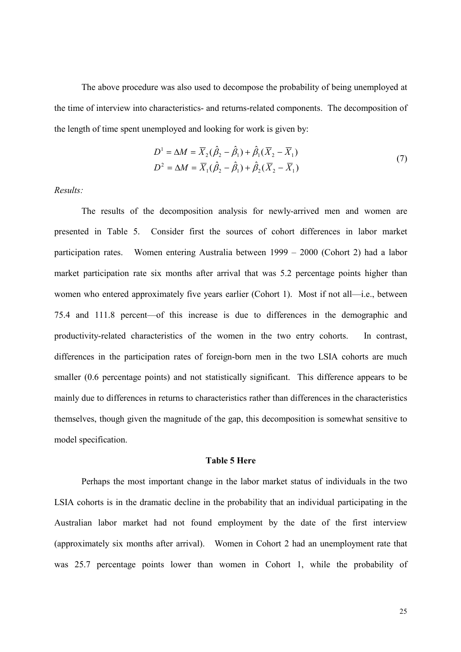The above procedure was also used to decompose the probability of being unemployed at the time of interview into characteristics- and returns-related components. The decomposition of the length of time spent unemployed and looking for work is given by:

$$
D^{1} = \Delta M = \overline{X}_{2} (\hat{\beta}_{2} - \hat{\beta}_{1}) + \hat{\beta}_{1} (\overline{X}_{2} - \overline{X}_{1})
$$
  
\n
$$
D^{2} = \Delta M = \overline{X}_{1} (\hat{\beta}_{2} - \hat{\beta}_{1}) + \hat{\beta}_{2} (\overline{X}_{2} - \overline{X}_{1})
$$
\n(7)

*Results:* 

 The results of the decomposition analysis for newly-arrived men and women are presented in Table 5. Consider first the sources of cohort differences in labor market participation rates. Women entering Australia between 1999 – 2000 (Cohort 2) had a labor market participation rate six months after arrival that was 5.2 percentage points higher than women who entered approximately five years earlier (Cohort 1). Most if not all—i.e., between 75.4 and 111.8 percent—of this increase is due to differences in the demographic and productivity-related characteristics of the women in the two entry cohorts. In contrast, differences in the participation rates of foreign-born men in the two LSIA cohorts are much smaller (0.6 percentage points) and not statistically significant. This difference appears to be mainly due to differences in returns to characteristics rather than differences in the characteristics themselves, though given the magnitude of the gap, this decomposition is somewhat sensitive to model specification.

#### **Table 5 Here**

 Perhaps the most important change in the labor market status of individuals in the two LSIA cohorts is in the dramatic decline in the probability that an individual participating in the Australian labor market had not found employment by the date of the first interview (approximately six months after arrival). Women in Cohort 2 had an unemployment rate that was 25.7 percentage points lower than women in Cohort 1, while the probability of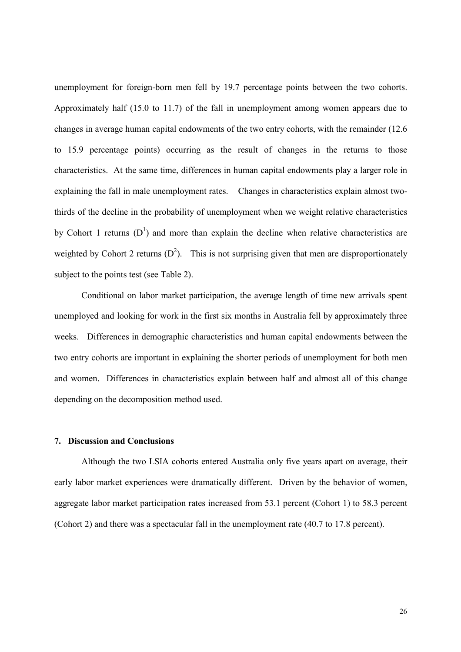unemployment for foreign-born men fell by 19.7 percentage points between the two cohorts. Approximately half (15.0 to 11.7) of the fall in unemployment among women appears due to changes in average human capital endowments of the two entry cohorts, with the remainder (12.6 to 15.9 percentage points) occurring as the result of changes in the returns to those characteristics. At the same time, differences in human capital endowments play a larger role in explaining the fall in male unemployment rates. Changes in characteristics explain almost twothirds of the decline in the probability of unemployment when we weight relative characteristics by Cohort 1 returns  $(D<sup>1</sup>)$  and more than explain the decline when relative characteristics are weighted by Cohort 2 returns  $(D^2)$ . This is not surprising given that men are disproportionately subject to the points test (see Table 2).

 Conditional on labor market participation, the average length of time new arrivals spent unemployed and looking for work in the first six months in Australia fell by approximately three weeks. Differences in demographic characteristics and human capital endowments between the two entry cohorts are important in explaining the shorter periods of unemployment for both men and women. Differences in characteristics explain between half and almost all of this change depending on the decomposition method used.

#### **7. Discussion and Conclusions**

Although the two LSIA cohorts entered Australia only five years apart on average, their early labor market experiences were dramatically different. Driven by the behavior of women, aggregate labor market participation rates increased from 53.1 percent (Cohort 1) to 58.3 percent (Cohort 2) and there was a spectacular fall in the unemployment rate (40.7 to 17.8 percent).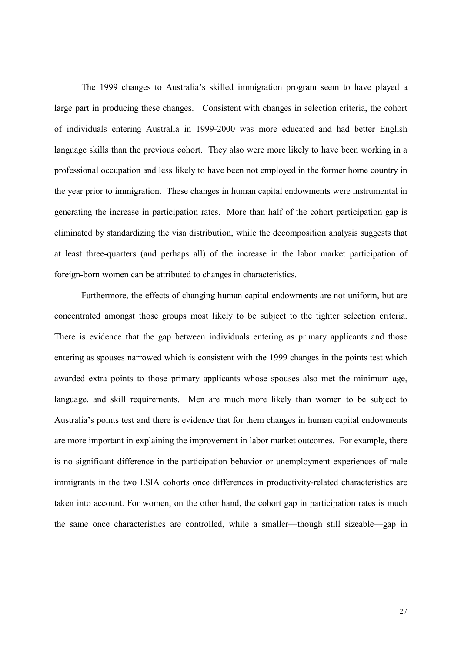The 1999 changes to Australia's skilled immigration program seem to have played a large part in producing these changes. Consistent with changes in selection criteria, the cohort of individuals entering Australia in 1999-2000 was more educated and had better English language skills than the previous cohort. They also were more likely to have been working in a professional occupation and less likely to have been not employed in the former home country in the year prior to immigration. These changes in human capital endowments were instrumental in generating the increase in participation rates. More than half of the cohort participation gap is eliminated by standardizing the visa distribution, while the decomposition analysis suggests that at least three-quarters (and perhaps all) of the increase in the labor market participation of foreign-born women can be attributed to changes in characteristics.

Furthermore, the effects of changing human capital endowments are not uniform, but are concentrated amongst those groups most likely to be subject to the tighter selection criteria. There is evidence that the gap between individuals entering as primary applicants and those entering as spouses narrowed which is consistent with the 1999 changes in the points test which awarded extra points to those primary applicants whose spouses also met the minimum age, language, and skill requirements. Men are much more likely than women to be subject to Australia's points test and there is evidence that for them changes in human capital endowments are more important in explaining the improvement in labor market outcomes. For example, there is no significant difference in the participation behavior or unemployment experiences of male immigrants in the two LSIA cohorts once differences in productivity-related characteristics are taken into account. For women, on the other hand, the cohort gap in participation rates is much the same once characteristics are controlled, while a smaller—though still sizeable—gap in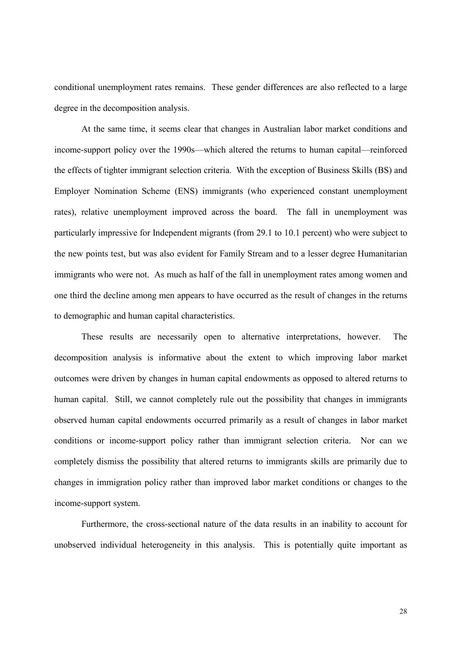conditional unemployment rates remains. These gender differences are also reflected to a large degree in the decomposition analysis.

At the same time, it seems clear that changes in Australian labor market conditions and income-support policy over the 1990s—which altered the returns to human capital—reinforced the effects of tighter immigrant selection criteria. With the exception of Business Skills (BS) and Employer Nomination Scheme (ENS) immigrants (who experienced constant unemployment rates), relative unemployment improved across the board. The fall in unemployment was particularly impressive for Independent migrants (from 29.1 to 10.1 percent) who were subject to the new points test, but was also evident for Family Stream and to a lesser degree Humanitarian immigrants who were not. As much as half of the fall in unemployment rates among women and one third the decline among men appears to have occurred as the result of changes in the returns to demographic and human capital characteristics.

These results are necessarily open to alternative interpretations, however. The decomposition analysis is informative about the extent to which improving labor market outcomes were driven by changes in human capital endowments as opposed to altered returns to human capital. Still, we cannot completely rule out the possibility that changes in immigrants observed human capital endowments occurred primarily as a result of changes in labor market conditions or income-support policy rather than immigrant selection criteria. Nor can we completely dismiss the possibility that altered returns to immigrants skills are primarily due to changes in immigration policy rather than improved labor market conditions or changes to the income-support system.

Furthermore, the cross-sectional nature of the data results in an inability to account for unobserved individual heterogeneity in this analysis. This is potentially quite important as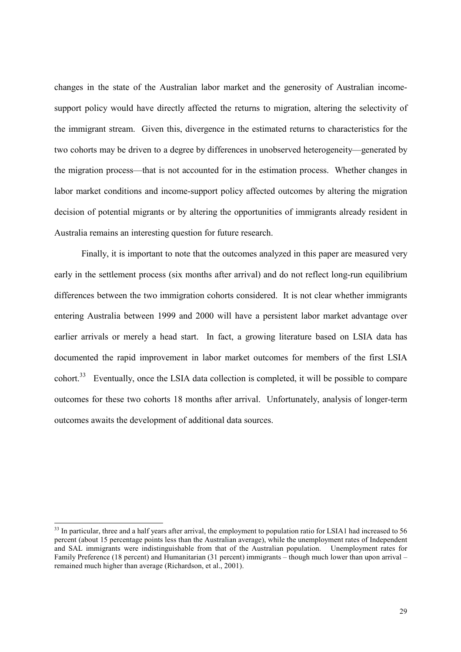changes in the state of the Australian labor market and the generosity of Australian incomesupport policy would have directly affected the returns to migration, altering the selectivity of the immigrant stream. Given this, divergence in the estimated returns to characteristics for the two cohorts may be driven to a degree by differences in unobserved heterogeneity—generated by the migration process—that is not accounted for in the estimation process. Whether changes in labor market conditions and income-support policy affected outcomes by altering the migration decision of potential migrants or by altering the opportunities of immigrants already resident in Australia remains an interesting question for future research.

Finally, it is important to note that the outcomes analyzed in this paper are measured very early in the settlement process (six months after arrival) and do not reflect long-run equilibrium differences between the two immigration cohorts considered. It is not clear whether immigrants entering Australia between 1999 and 2000 will have a persistent labor market advantage over earlier arrivals or merely a head start. In fact, a growing literature based on LSIA data has documented the rapid improvement in labor market outcomes for members of the first LSIA cohort.<sup>33</sup> Eventually, once the LSIA data collection is completed, it will be possible to compare outcomes for these two cohorts 18 months after arrival. Unfortunately, analysis of longer-term outcomes awaits the development of additional data sources.

 $33$  In particular, three and a half years after arrival, the employment to population ratio for LSIA1 had increased to 56 percent (about 15 percentage points less than the Australian average), while the unemployment rates of Independent and SAL immigrants were indistinguishable from that of the Australian population. Unemployment rates for Family Preference (18 percent) and Humanitarian (31 percent) immigrants – though much lower than upon arrival – remained much higher than average (Richardson, et al., 2001).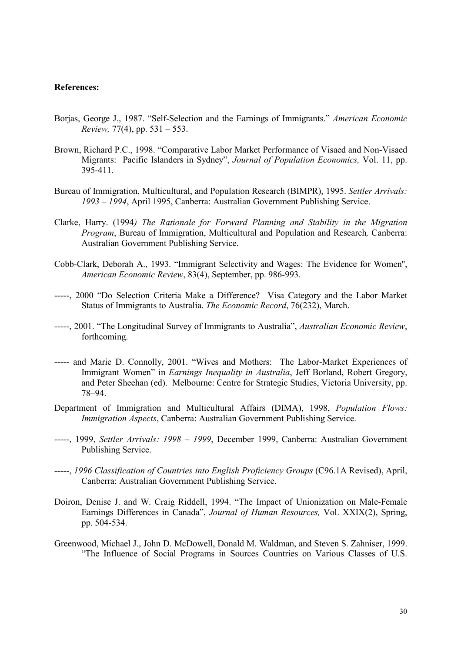## **References:**

- Borjas, George J., 1987. "Self-Selection and the Earnings of Immigrants." *American Economic Review,* 77(4), pp. 531 – 553.
- Brown, Richard P.C., 1998. "Comparative Labor Market Performance of Visaed and Non-Visaed Migrants: Pacific Islanders in Sydney", *Journal of Population Economics,* Vol. 11, pp. 395-411.
- Bureau of Immigration, Multicultural, and Population Research (BIMPR), 1995. *Settler Arrivals: 1993 – 1994*, April 1995, Canberra: Australian Government Publishing Service.
- Clarke, Harry. (1994*) The Rationale for Forward Planning and Stability in the Migration Program*, Bureau of Immigration, Multicultural and Population and Research*,* Canberra: Australian Government Publishing Service.
- Cobb-Clark, Deborah A., 1993. "Immigrant Selectivity and Wages: The Evidence for Women'', *American Economic Review*, 83(4), September, pp. 986-993.
- -----, 2000 "Do Selection Criteria Make a Difference? Visa Category and the Labor Market Status of Immigrants to Australia. *The Economic Record*, 76(232), March.
- -----, 2001. "The Longitudinal Survey of Immigrants to Australia", *Australian Economic Review*, forthcoming.
- ----- and Marie D. Connolly, 2001. "Wives and Mothers: The Labor-Market Experiences of Immigrant Women" in *Earnings Inequality in Australia*, Jeff Borland, Robert Gregory, and Peter Sheehan (ed). Melbourne: Centre for Strategic Studies, Victoria University, pp. 78–94.
- Department of Immigration and Multicultural Affairs (DIMA), 1998, *Population Flows: Immigration Aspects*, Canberra: Australian Government Publishing Service.
- -----, 1999, *Settler Arrivals: 1998 1999*, December 1999, Canberra: Australian Government Publishing Service.
- -----, *1996 Classification of Countries into English Proficiency Groups* (C96.1A Revised), April, Canberra: Australian Government Publishing Service.
- Doiron, Denise J. and W. Craig Riddell, 1994. "The Impact of Unionization on Male-Female Earnings Differences in Canada", *Journal of Human Resources,* Vol. XXIX(2), Spring, pp. 504-534.
- Greenwood, Michael J., John D. McDowell, Donald M. Waldman, and Steven S. Zahniser, 1999. "The Influence of Social Programs in Sources Countries on Various Classes of U.S.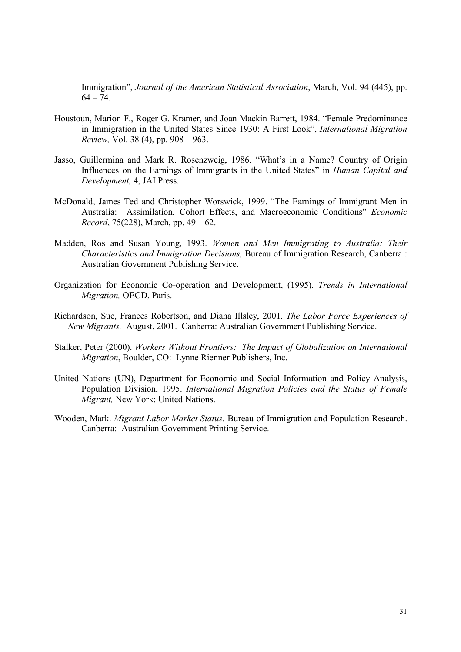Immigration", *Journal of the American Statistical Association*, March, Vol. 94 (445), pp.  $64 - 74.$ 

- Houstoun, Marion F., Roger G. Kramer, and Joan Mackin Barrett, 1984. "Female Predominance in Immigration in the United States Since 1930: A First Look", *International Migration Review,* Vol. 38 (4), pp. 908 – 963.
- Jasso, Guillermina and Mark R. Rosenzweig, 1986. "What's in a Name? Country of Origin Influences on the Earnings of Immigrants in the United States" in *Human Capital and Development,* 4, JAI Press.
- McDonald, James Ted and Christopher Worswick, 1999. "The Earnings of Immigrant Men in Australia: Assimilation, Cohort Effects, and Macroeconomic Conditions" *Economic Record*, 75(228), March, pp. 49 – 62.
- Madden, Ros and Susan Young, 1993. *Women and Men Immigrating to Australia: Their Characteristics and Immigration Decisions,* Bureau of Immigration Research, Canberra : Australian Government Publishing Service.
- Organization for Economic Co-operation and Development, (1995). *Trends in International Migration,* OECD, Paris.
- Richardson, Sue, Frances Robertson, and Diana Illsley, 2001. *The Labor Force Experiences of New Migrants.* August, 2001. Canberra: Australian Government Publishing Service.
- Stalker, Peter (2000). *Workers Without Frontiers: The Impact of Globalization on International Migration*, Boulder, CO: Lynne Rienner Publishers, Inc.
- United Nations (UN), Department for Economic and Social Information and Policy Analysis, Population Division, 1995. *International Migration Policies and the Status of Female Migrant,* New York: United Nations.
- Wooden, Mark. *Migrant Labor Market Status.* Bureau of Immigration and Population Research. Canberra: Australian Government Printing Service.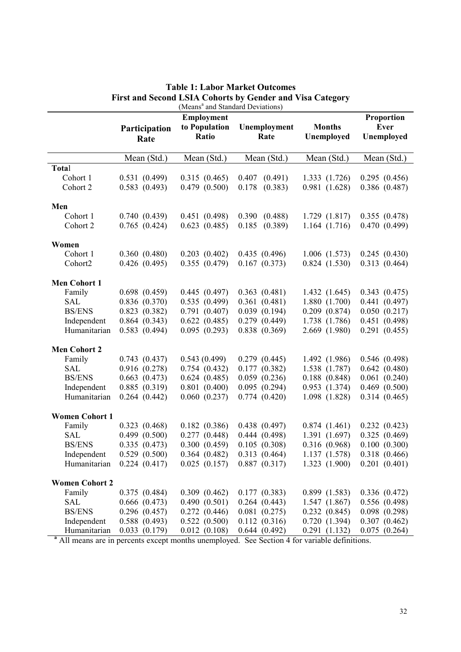| (Means <sup>a</sup> and Standard Deviations) |                              |                                      |                                   |                              |                                         |  |  |  |  |
|----------------------------------------------|------------------------------|--------------------------------------|-----------------------------------|------------------------------|-----------------------------------------|--|--|--|--|
|                                              | Participation<br>Rate        | Employment<br>to Population<br>Ratio | Unemployment<br>Rate              | <b>Months</b><br>Unemployed  | <b>Proportion</b><br>Ever<br>Unemployed |  |  |  |  |
|                                              | Mean (Std.)                  | Mean (Std.)                          | Mean (Std.)                       | Mean (Std.)                  | Mean (Std.)                             |  |  |  |  |
| Total                                        |                              |                                      |                                   |                              |                                         |  |  |  |  |
| Cohort 1                                     | 0.531(0.499)                 | 0.315(0.465)                         | 0.407<br>(0.491)                  | 1.333 (1.726)                | 0.295(0.456)                            |  |  |  |  |
| Cohort 2                                     | 0.583(0.493)                 | 0.479(0.500)                         | 0.178<br>(0.383)                  | 0.981(1.628)                 | $0.386$ $(0.487)$                       |  |  |  |  |
|                                              |                              |                                      |                                   |                              |                                         |  |  |  |  |
| Men                                          |                              |                                      |                                   |                              |                                         |  |  |  |  |
| Cohort 1                                     | 0.740(0.439)                 | 0.451(0.498)                         | 0.390<br>(0.488)                  | 1.729 (1.817)                | 0.355(0.478)                            |  |  |  |  |
| Cohort 2                                     | 0.765(0.424)                 | 0.623(0.485)                         | 0.185<br>(0.389)                  | 1.164(1.716)                 | 0.470(0.499)                            |  |  |  |  |
| Women                                        |                              |                                      |                                   |                              |                                         |  |  |  |  |
| Cohort 1                                     | 0.360(0.480)                 | $0.203$ $(0.402)$                    | 0.435(0.496)                      | 1.006(1.573)                 | 0.245(0.430)                            |  |  |  |  |
| Cohort2                                      | 0.426(0.495)                 | 0.355(0.479)                         | 0.167(0.373)                      | 0.824(1.530)                 | 0.313(0.464)                            |  |  |  |  |
|                                              |                              |                                      |                                   |                              |                                         |  |  |  |  |
| <b>Men Cohort 1</b>                          |                              |                                      |                                   |                              |                                         |  |  |  |  |
| Family                                       | 0.698(0.459)                 | 0.445(0.497)                         | 0.363(0.481)                      | 1.432(1.645)                 | 0.343(0.475)                            |  |  |  |  |
| <b>SAL</b>                                   | 0.836(0.370)                 | 0.535(0.499)                         | 0.361(0.481)                      | 1.880 (1.700)                | 0.441(0.497)                            |  |  |  |  |
| <b>BS/ENS</b>                                | 0.823(0.382)                 | 0.791(0.407)                         | 0.039(0.194)                      | $0.209$ $(0.874)$            | 0.050(0.217)                            |  |  |  |  |
| Independent                                  | 0.864(0.343)                 | 0.622(0.485)                         | $0.279$ $(0.449)$                 | 1.738 (1.786)                | 0.451(0.498)                            |  |  |  |  |
| Humanitarian                                 | 0.583(0.494)                 | 0.095(0.293)                         | 0.838(0.369)                      | 2.669 (1.980)                | 0.291(0.455)                            |  |  |  |  |
|                                              |                              |                                      |                                   |                              |                                         |  |  |  |  |
| <b>Men Cohort 2</b>                          |                              |                                      |                                   |                              |                                         |  |  |  |  |
| Family                                       | 0.743(0.437)                 | 0.543(0.499)                         | $0.279$ $(0.445)$                 | 1.492 (1.986)                | 0.546(0.498)                            |  |  |  |  |
| SAL<br><b>BS/ENS</b>                         | 0.916(0.278)                 | 0.754(0.432)                         | 0.177(0.382)                      | 1.538 (1.787)                | 0.642(0.480)                            |  |  |  |  |
|                                              | 0.663(0.473)                 | 0.624(0.485)<br>0.801(0.400)         | $0.059$ $(0.236)$<br>0.095(0.294) | 0.188(0.848)<br>0.953(1.374) | $0.061$ $(0.240)$<br>$0.469$ $(0.500)$  |  |  |  |  |
| Independent<br>Humanitarian                  | 0.885(0.319)<br>0.264(0.442) | 0.060(0.237)                         | 0.774(0.420)                      | 1.098 (1.828)                | 0.314(0.465)                            |  |  |  |  |
|                                              |                              |                                      |                                   |                              |                                         |  |  |  |  |
| <b>Women Cohort 1</b>                        |                              |                                      |                                   |                              |                                         |  |  |  |  |
| Family                                       | 0.323(0.468)                 | 0.182(0.386)                         | $0.438$ $(0.497)$                 | 0.874(1.461)                 | 0.232(0.423)                            |  |  |  |  |
| <b>SAL</b>                                   | 0.499(0.500)                 | 0.277(0.448)                         | 0.444(0.498)                      | 1.391 (1.697)                | 0.325(0.469)                            |  |  |  |  |
| <b>BS/ENS</b>                                | 0.335(0.473)                 | 0.300(0.459)                         | 0.105(0.308)                      | 0.316 (0.968)                | 0.100 (0.300)                           |  |  |  |  |
| Independent                                  | 0.529(0.500)                 | 0.364(0.482)                         | 0.313(0.464)                      | 1.137 (1.578)                | $0.318$ $(0.466)$                       |  |  |  |  |
| Humanitarian                                 | 0.224(0.417)                 | 0.025(0.157)                         | $0.887$ $(0.317)$                 | 1.323 (1.900)                | 0.201(0.401)                            |  |  |  |  |
|                                              |                              |                                      |                                   |                              |                                         |  |  |  |  |
| <b>Women Cohort 2</b>                        |                              |                                      |                                   |                              |                                         |  |  |  |  |
| Family                                       | 0.375(0.484)                 | $0.309$ $(0.462)$                    | 0.177(0.383)                      | 0.899(1.583)                 | 0.336(0.472)                            |  |  |  |  |
| <b>SAL</b>                                   | 0.666(0.473)                 | 0.490(0.501)                         | $0.264$ $(0.443)$                 | 1.547 (1.867)                | 0.556(0.498)                            |  |  |  |  |
| <b>BS/ENS</b>                                | $0.296$ $(0.457)$            | 0.272(0.446)                         | $0.081$ $(0.275)$                 | 0.232(0.845)                 | $0.098$ $(0.298)$                       |  |  |  |  |
| Independent                                  | 0.588(0.493)                 | 0.522(0.500)                         | 0.112(0.316)                      | 0.720(1.394)                 | 0.307(0.462)                            |  |  |  |  |
| Humanitarian<br>$\overline{11}$              | 0.033(0.179)                 | 0.012(0.108)                         | 0.644(0.492)                      | 0.291(1.132)                 | $0.075$ $(0.264)$                       |  |  |  |  |

# **Table 1: Labor Market Outcomes First and Second LSIA Cohorts by Gender and Visa Category**

**<sup>a</sup>** All means are in percents except months unemployed. See Section 4 for variable definitions.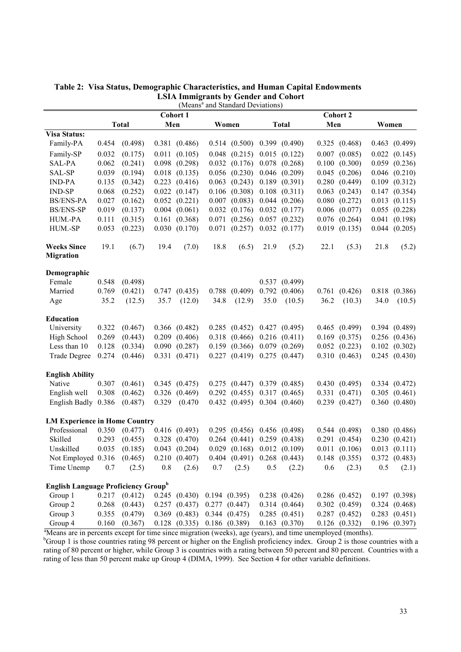|                                                                                                                        | (Means <sup>a</sup> and Standard Deviations) |                                                                         |       |                                     |      |                                     |      |                   |       |                   |       |                   |
|------------------------------------------------------------------------------------------------------------------------|----------------------------------------------|-------------------------------------------------------------------------|-------|-------------------------------------|------|-------------------------------------|------|-------------------|-------|-------------------|-------|-------------------|
|                                                                                                                        |                                              |                                                                         |       | Cohort 1                            |      |                                     |      |                   |       | <b>Cohort 2</b>   |       |                   |
|                                                                                                                        |                                              | <b>Total</b>                                                            | Men   |                                     |      | Women                               |      | <b>Total</b>      | Men   |                   | Women |                   |
| <b>Visa Status:</b>                                                                                                    |                                              |                                                                         |       |                                     |      |                                     |      |                   |       |                   |       |                   |
| Family-PA                                                                                                              | 0.454                                        | (0.498)                                                                 |       | $0.381$ $(0.486)$                   |      | $0.514$ $(0.500)$ $0.399$ $(0.490)$ |      |                   |       | 0.325(0.468)      |       | $0.463$ $(0.499)$ |
| Family-SP                                                                                                              | 0.032                                        | (0.175)                                                                 |       | 0.011(0.105)                        |      | $0.048$ $(0.215)$                   |      | $0.015$ $(0.122)$ |       | $0.007$ $(0.085)$ |       | $0.022$ $(0.145)$ |
| SAL-PA                                                                                                                 | 0.062                                        | (0.241)                                                                 |       | $0.098$ $(0.298)$                   |      | $0.032$ $(0.176)$                   |      | $0.078$ $(0.268)$ |       | 0.100 (0.300)     |       | $0.059$ $(0.236)$ |
| SAL-SP                                                                                                                 | 0.039                                        | (0.194)                                                                 |       | $0.018$ $(0.135)$                   |      | $0.056$ $(0.230)$                   |      | $0.046$ $(0.209)$ | 0.045 | (0.206)           |       | $0.046$ $(0.210)$ |
| <b>IND-PA</b>                                                                                                          | 0.135                                        | (0.342)                                                                 |       | $0.223$ $(0.416)$                   |      | $0.063$ $(0.243)$                   |      | $0.189$ $(0.391)$ |       | 0.280(0.449)      |       | $0.109$ $(0.312)$ |
| <b>IND-SP</b>                                                                                                          | 0.068                                        | (0.252)                                                                 |       | $0.022$ $(0.147)$                   |      | $0.106$ $(0.308)$                   |      | $0.108$ $(0.311)$ | 0.063 | (0.243)           |       | $0.147$ $(0.354)$ |
| <b>BS/ENS-PA</b>                                                                                                       | 0.027                                        | (0.162)                                                                 |       | $0.052$ $(0.221)$                   |      | $0.007$ $(0.083)$                   |      | 0.044(0.206)      |       | $0.080$ $(0.272)$ |       | $0.013$ $(0.115)$ |
| <b>BS/ENS-SP</b>                                                                                                       | 0.019                                        | (0.137)                                                                 |       | $0.004$ $(0.061)$                   |      | $0.032$ $(0.176)$                   |      | $0.032$ $(0.177)$ |       | $0.006$ $(0.077)$ |       | $0.055$ $(0.228)$ |
| HUM.-PA                                                                                                                | 0.111                                        | (0.315)                                                                 |       | $0.161$ $(0.368)$                   |      | $0.071$ $(0.256)$                   |      | $0.057$ $(0.232)$ |       | $0.076$ $(0.264)$ |       | $0.041$ $(0.198)$ |
| HUM.-SP                                                                                                                | 0.053                                        | (0.223)                                                                 |       | 0.030 (0.170)                       |      | $0.071$ $(0.257)$                   |      | $0.032$ $(0.177)$ |       | $0.019$ $(0.135)$ |       | $0.044$ $(0.205)$ |
| <b>Weeks Since</b><br><b>Migration</b>                                                                                 | 19.1                                         | (6.7)                                                                   | 19.4  | (7.0)                               | 18.8 | (6.5)                               | 21.9 | (5.2)             | 22.1  | (5.3)             | 21.8  | (5.2)             |
| Demographic                                                                                                            |                                              |                                                                         |       |                                     |      |                                     |      |                   |       |                   |       |                   |
| Female                                                                                                                 | 0.548                                        | (0.498)                                                                 |       |                                     |      |                                     |      | 0.537(0.499)      |       |                   |       |                   |
| Married                                                                                                                | 0.769                                        | (0.421)                                                                 |       | 0.747(0.435)                        |      | $0.788$ $(0.409)$                   |      | 0.792(0.406)      |       | $0.761$ $(0.426)$ | 0.818 | (0.386)           |
| Age                                                                                                                    | 35.2                                         | (12.5)                                                                  | 35.7  | (12.0)                              | 34.8 | (12.9)                              | 35.0 | (10.5)            | 36.2  | (10.3)            | 34.0  | (10.5)            |
| <b>Education</b>                                                                                                       |                                              |                                                                         |       |                                     |      |                                     |      |                   |       |                   |       |                   |
| University                                                                                                             | 0.322                                        | (0.467)                                                                 |       | $0.366$ $(0.482)$                   |      | $0.285$ $(0.452)$ $0.427$ $(0.495)$ |      |                   |       | $0.465$ $(0.499)$ |       | $0.394$ $(0.489)$ |
| High School                                                                                                            | 0.269                                        | (0.443)                                                                 |       | $0.209$ $(0.406)$                   |      | $0.318$ $(0.466)$ $0.216$ $(0.411)$ |      |                   |       | $0.169$ $(0.375)$ |       | $0.256$ $(0.436)$ |
| Less than 10                                                                                                           | 0.128                                        | (0.334)                                                                 |       | 0.090 (0.287)                       |      | $0.159$ $(0.366)$ $0.079$ $(0.269)$ |      |                   |       | $0.052$ $(0.223)$ |       | $0.102$ $(0.302)$ |
| Trade Degree                                                                                                           | 0.274                                        | (0.446)                                                                 |       | 0.331(0.471)                        |      | $0.227$ $(0.419)$ $0.275$ $(0.447)$ |      |                   |       | 0.310(0.463)      |       | $0.245$ $(0.430)$ |
| <b>English Ability</b>                                                                                                 |                                              |                                                                         |       |                                     |      |                                     |      |                   |       |                   |       |                   |
| Native                                                                                                                 | 0.307                                        | (0.461)                                                                 |       | $0.345$ $(0.475)$                   |      | $0.275$ $(0.447)$ $0.379$ $(0.485)$ |      |                   |       | 0.430(0.495)      |       | 0.334(0.472)      |
| English well                                                                                                           | 0.308                                        | (0.462)                                                                 |       | $0.326$ $(0.469)$                   |      | $0.292$ $(0.455)$ $0.317$ $(0.465)$ |      |                   |       | 0.331 (0.471)     |       | $0.305$ $(0.461)$ |
| English Badly 0.386                                                                                                    |                                              | (0.487)                                                                 | 0.329 | (0.470)                             |      | $0.432$ $(0.495)$ $0.304$ $(0.460)$ |      |                   |       | $0.239$ $(0.427)$ |       | $0.360$ $(0.480)$ |
| <b>LM Experience in Home Country</b>                                                                                   |                                              |                                                                         |       |                                     |      |                                     |      |                   |       |                   |       |                   |
| Professional                                                                                                           |                                              | $0.350$ $(0.477)$                                                       |       | $0.416$ $(0.493)$                   |      | $0.295$ $(0.456)$ $0.456$ $(0.498)$ |      |                   |       | 0.544(0.498)      |       | 0.380(0.486)      |
| Skilled                                                                                                                | 0.293                                        | (0.455)                                                                 |       | $0.328$ $(0.470)$                   |      | $0.264$ $(0.441)$ $0.259$ $(0.438)$ |      |                   |       | $0.291$ $(0.454)$ |       | 0.230(0.421)      |
| Unskilled                                                                                                              |                                              | $0.035$ $(0.185)$ $0.043$ $(0.204)$ $0.029$ $(0.168)$ $0.012$ $(0.109)$ |       |                                     |      |                                     |      |                   |       | 0.011(0.106)      |       | $0.013$ $(0.111)$ |
| Not Employed 0.316 (0.465)                                                                                             |                                              |                                                                         |       | 0.210(0.407)                        |      | $0.404$ $(0.491)$ $0.268$ $(0.443)$ |      |                   |       | $0.148$ $(0.355)$ |       | 0.372(0.483)      |
| Time Unemp                                                                                                             | 0.7                                          | (2.5)                                                                   | 0.8   | (2.6)                               | 0.7  | (2.5)                               | 0.5  | (2.2)             | 0.6   | (2.3)             | 0.5   | (2.1)             |
| <b>English Language Proficiency Group</b> <sup>b</sup>                                                                 |                                              |                                                                         |       |                                     |      |                                     |      |                   |       |                   |       |                   |
| Group 1                                                                                                                |                                              | $0.217$ $(0.412)$                                                       |       | $0.245$ $(0.430)$ $0.194$ $(0.395)$ |      |                                     |      | $0.238$ $(0.426)$ |       | $0.286$ $(0.452)$ |       | $0.197$ $(0.398)$ |
| Group 2                                                                                                                | 0.268                                        | (0.443)                                                                 |       | $0.257$ $(0.437)$ $0.277$ $(0.447)$ |      |                                     |      | 0.314(0.464)      |       | $0.302$ $(0.459)$ |       | $0.324$ $(0.468)$ |
| Group 3                                                                                                                |                                              | $0.355$ $(0.479)$                                                       |       | $0.369$ $(0.483)$ $0.344$ $(0.475)$ |      |                                     |      | $0.285$ $(0.451)$ |       | $0.287$ $(0.452)$ |       | $0.283$ $(0.451)$ |
| Group 4                                                                                                                | 0.160                                        | (0.367)                                                                 |       | $0.128$ $(0.335)$ $0.186$ $(0.389)$ |      |                                     |      | $0.163$ $(0.370)$ |       | $0.126$ $(0.332)$ |       | $0.196$ $(0.397)$ |
| $\frac{1}{3}$ Means are in percents except for time since migration (weeks), and (years), and time unemployed (months) |                                              |                                                                         |       |                                     |      |                                     |      |                   |       |                   |       |                   |

# **Table 2: Visa Status, Demographic Characteristics, and Human Capital Endowments LSIA Immigrants by Gender and Cohort**

<sup>a</sup>Means are in percents except for time since migration (weeks), age (years), and time unemployed (months).

<sup>b</sup>Group 1 is those countries rating 98 percent or higher on the English proficiency index. Group 2 is those countries with a rating of 80 percent or higher, while Group 3 is countries with a rating between 50 percent and 80 percent. Countries with a rating of less than 50 percent make up Group 4 (DIMA, 1999). See Section 4 for other variable definitions.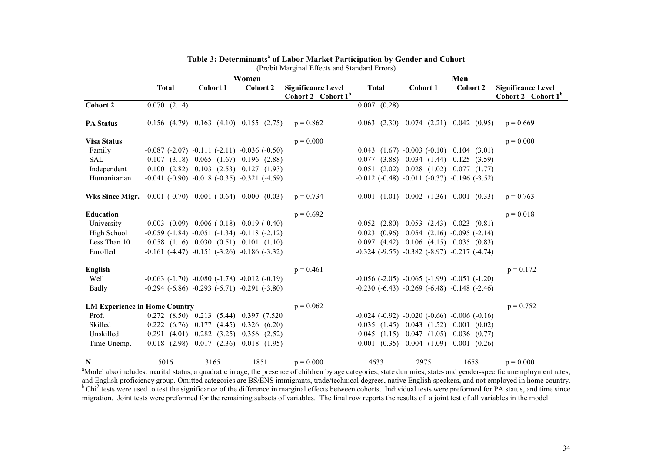|                                                                        |                                                                |                                                          | Women    |                                                               |                  |                                                                | Men              |                                                       |
|------------------------------------------------------------------------|----------------------------------------------------------------|----------------------------------------------------------|----------|---------------------------------------------------------------|------------------|----------------------------------------------------------------|------------------|-------------------------------------------------------|
|                                                                        | <b>Total</b>                                                   | Cohort 1                                                 | Cohort 2 | <b>Significance Level</b><br>Cohort 2 - Cohort 1 <sup>b</sup> | <b>Total</b>     | Cohort 1                                                       | Cohort 2         | <b>Significance Level</b><br>Cohort $2$ - Cohort $1b$ |
| Cohort 2                                                               | $0.070$ $(2.14)$                                               |                                                          |          |                                                               | $0.007$ $(0.28)$ |                                                                |                  |                                                       |
| <b>PA Status</b>                                                       |                                                                | $0.156$ (4.79) $0.163$ (4.10) $0.155$ (2.75)             |          | $p = 0.862$                                                   |                  | $0.063$ $(2.30)$ $0.074$ $(2.21)$ $0.042$ $(0.95)$             |                  | $p = 0.669$                                           |
| <b>Visa Status</b>                                                     |                                                                |                                                          |          | $p = 0.000$                                                   |                  |                                                                |                  | $p = 0.000$                                           |
| Family                                                                 | $-0.087$ ( $-2.07$ ) $-0.111$ ( $-2.11$ ) $-0.036$ ( $-0.50$ ) |                                                          |          |                                                               |                  | $0.043$ $(1.67)$ $-0.003$ $(-0.10)$ $0.104$ $(3.01)$           |                  |                                                       |
| SAL                                                                    |                                                                | $0.107$ $(3.18)$ $0.065$ $(1.67)$ $0.196$ $(2.88)$       |          |                                                               |                  | $0.077$ $(3.88)$ $0.034$ $(1.44)$ $0.125$ $(3.59)$             |                  |                                                       |
| Independent                                                            |                                                                | $0.100$ $(2.82)$ $0.103$ $(2.53)$ $0.127$ $(1.93)$       |          |                                                               |                  | $0.051$ $(2.02)$ $0.028$ $(1.02)$ $0.077$ $(1.77)$             |                  |                                                       |
| Humanitarian                                                           | $-0.041$ $(-0.90)$ $-0.018$ $(-0.35)$ $-0.321$ $(-4.59)$       |                                                          |          |                                                               |                  | $-0.012$ $(-0.48)$ $-0.011$ $(-0.37)$ $-0.196$ $(-3.52)$       |                  |                                                       |
| Wks Since Migr. $-0.001$ $(-0.70)$ $-0.001$ $(-0.64)$ $0.000$ $(0.03)$ |                                                                |                                                          |          | $p = 0.734$                                                   |                  | $0.001$ $(1.01)$ $0.002$ $(1.36)$ $0.001$ $(0.33)$             |                  | $p = 0.763$                                           |
| <b>Education</b>                                                       |                                                                |                                                          |          | $p = 0.692$                                                   |                  |                                                                |                  | $p = 0.018$                                           |
| University                                                             |                                                                | $0.003$ $(0.09)$ $-0.006$ $(-0.18)$ $-0.019$ $(-0.40)$   |          |                                                               |                  | $0.052$ $(2.80)$ $0.053$ $(2.43)$ $0.023$ $(0.81)$             |                  |                                                       |
| High School                                                            | $-0.059$ $(-1.84)$ $-0.051$ $(-1.34)$ $-0.118$ $(-2.12)$       |                                                          |          |                                                               |                  | $0.023$ $(0.96)$ $0.054$ $(2.16)$ $-0.095$ $(-2.14)$           |                  |                                                       |
| Less Than 10                                                           |                                                                | $0.058$ $(1.16)$ $0.030$ $(0.51)$ $0.101$ $(1.10)$       |          |                                                               |                  | $0.097$ $(4.42)$ $0.106$ $(4.15)$ $0.035$ $(0.83)$             |                  |                                                       |
| Enrolled                                                               |                                                                | $-0.161$ $(-4.47)$ $-0.151$ $(-3.26)$ $-0.186$ $(-3.32)$ |          |                                                               |                  | $-0.324$ $(-9.55)$ $-0.382$ $(-8.97)$ $-0.217$ $(-4.74)$       |                  |                                                       |
| <b>English</b>                                                         |                                                                |                                                          |          | $p = 0.461$                                                   |                  |                                                                |                  | $p = 0.172$                                           |
| Well                                                                   | $-0.063$ $(-1.70)$ $-0.080$ $(-1.78)$ $-0.012$ $(-0.19)$       |                                                          |          |                                                               |                  | $-0.056$ ( $-2.05$ ) $-0.065$ ( $-1.99$ ) $-0.051$ ( $-1.20$ ) |                  |                                                       |
| Badly                                                                  | $-0.294$ $(-6.86)$ $-0.293$ $(-5.71)$ $-0.291$ $(-3.80)$       |                                                          |          |                                                               |                  | $-0.230$ $(-6.43)$ $-0.269$ $(-6.48)$ $-0.148$ $(-2.46)$       |                  |                                                       |
| <b>LM Experience in Home Country</b>                                   |                                                                |                                                          |          | $p = 0.062$                                                   |                  |                                                                |                  | $p = 0.752$                                           |
| Prof.                                                                  |                                                                | $0.272$ $(8.50)$ $0.213$ $(5.44)$ $0.397$ $(7.520)$      |          |                                                               |                  | $-0.024$ ( $-0.92$ ) $-0.020$ ( $-0.66$ ) $-0.006$ ( $-0.16$ ) |                  |                                                       |
| Skilled                                                                |                                                                | $0.222$ (6.76) $0.177$ (4.45) $0.326$ (6.20)             |          |                                                               |                  | $0.035$ $(1.45)$ $0.043$ $(1.52)$                              | $0.001$ $(0.02)$ |                                                       |
| Unskilled                                                              |                                                                | $0.291$ (4.01) $0.282$ (3.25) $0.356$ (2.52)             |          |                                                               |                  | $0.045$ $(1.15)$ $0.047$ $(1.05)$                              | $0.036$ $(0.77)$ |                                                       |
| Time Unemp.                                                            |                                                                | $0.018$ $(2.98)$ $0.017$ $(2.36)$ $0.018$ $(1.95)$       |          |                                                               |                  | $0.001$ $(0.35)$ $0.004$ $(1.09)$                              | $0.001$ $(0.26)$ |                                                       |
| N                                                                      | 5016                                                           | 3165                                                     | 1851     | $p = 0.000$                                                   | 4633             | 2975                                                           | 1658             | $p = 0.000$                                           |

| Table 3: Determinants <sup>a</sup> of Labor Market Participation by Gender and Cohort |  |  |  |  |  |  |  |
|---------------------------------------------------------------------------------------|--|--|--|--|--|--|--|
|---------------------------------------------------------------------------------------|--|--|--|--|--|--|--|

(Probit Marginal Effects and Standard Errors)

<sup>a</sup>Model also includes: marital status, a quadratic in age, the presence of children by age categories, state dummies, state- and gender-specific unemployment rates, and English proficiency group. Omitted categories are BS/ENS immigrants, trade/technical degrees, native English speakers, and not employed in home country.  $b^b$ Chi<sup>2</sup> tests were used to test the significance of the difference in marginal effects between cohorts. Individual tests were preformed for PA status, and time since migration. Joint tests were preformed for the remaining subsets of variables. The final row reports the results of a joint test of all variables in the model.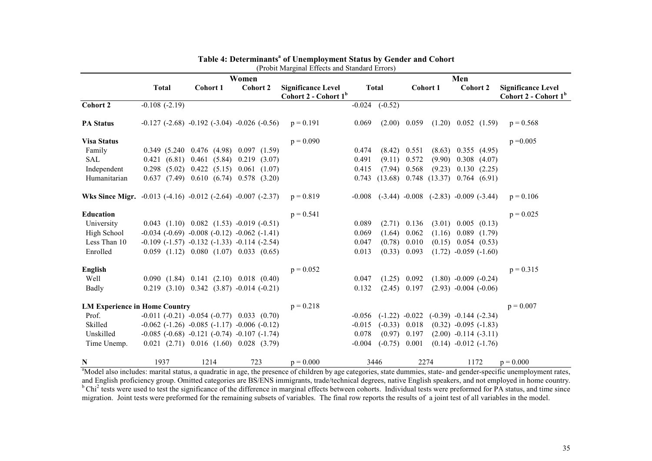|                                                                                 | Women           |                                                                |                 |                                                               |          | Men                         |                |          |                                                 |                                                               |  |
|---------------------------------------------------------------------------------|-----------------|----------------------------------------------------------------|-----------------|---------------------------------------------------------------|----------|-----------------------------|----------------|----------|-------------------------------------------------|---------------------------------------------------------------|--|
|                                                                                 | <b>Total</b>    | Cohort 1                                                       | <b>Cohort 2</b> | <b>Significance Level</b><br>Cohort 2 - Cohort 1 <sup>b</sup> |          | <b>Total</b>                |                | Cohort 1 | Cohort 2                                        | <b>Significance Level</b><br>Cohort 2 - Cohort 1 <sup>b</sup> |  |
| Cohort 2                                                                        | $-0.108(-2.19)$ |                                                                |                 |                                                               |          | $-0.024$ $(-0.52)$          |                |          |                                                 |                                                               |  |
| <b>PA Status</b>                                                                |                 | $-0.127$ ( $-2.68$ ) $-0.192$ ( $-3.04$ ) $-0.026$ ( $-0.56$ ) |                 | $p = 0.191$                                                   | 0.069    |                             | $(2.00)$ 0.059 |          | $(1.20)$ 0.052 $(1.59)$                         | $p = 0.568$                                                   |  |
| <b>Visa Status</b>                                                              |                 |                                                                |                 | $p = 0.090$                                                   |          |                             |                |          |                                                 | $p = 0.005$                                                   |  |
| Family                                                                          |                 | $0.349$ (5.240 0.476 (4.98) 0.097 (1.59)                       |                 |                                                               | 0.474    | (8.42)                      | 0.551          |          | $(8.63)$ 0.355 $(4.95)$                         |                                                               |  |
| <b>SAL</b>                                                                      |                 | $0.421$ (6.81) $0.461$ (5.84) $0.219$ (3.07)                   |                 |                                                               | 0.491    | (9.11)                      | 0.572          |          | $(9.90)$ 0.308 $(4.07)$                         |                                                               |  |
| Independent                                                                     |                 | $0.298$ (5.02) $0.422$ (5.15) $0.061$ (1.07)                   |                 |                                                               | 0.415    |                             | $(7.94)$ 0.568 |          | $(9.23)$ 0.130 $(2.25)$                         |                                                               |  |
| Humanitarian                                                                    |                 | $0.637$ (7.49) $0.610$ (6.74) $0.578$ (3.20)                   |                 |                                                               | 0.743    |                             |                |          | $(13.68)$ 0.748 $(13.37)$ 0.764 $(6.91)$        |                                                               |  |
| <b>Wks Since Migr.</b> $-0.013$ $(-4.16)$ $-0.012$ $(-2.64)$ $-0.007$ $(-2.37)$ |                 |                                                                |                 | $p = 0.819$                                                   | $-0.008$ |                             |                |          | $(-3.44)$ $-0.008$ $(-2.83)$ $-0.009$ $(-3.44)$ | $p = 0.106$                                                   |  |
| <b>Education</b>                                                                |                 |                                                                |                 | $p = 0.541$                                                   |          |                             |                |          |                                                 | $p = 0.025$                                                   |  |
| University                                                                      |                 | $0.043$ $(1.10)$ $0.082$ $(1.53)$ $-0.019$ $(-0.51)$           |                 |                                                               | 0.089    |                             | $(2.71)$ 0.136 |          | $(3.01)$ 0.005 $(0.13)$                         |                                                               |  |
| High School                                                                     |                 | $-0.034$ $(-0.69)$ $-0.008$ $(-0.12)$ $-0.062$ $(-1.41)$       |                 |                                                               | 0.069    | (1.64)                      | 0.062          | (1.16)   | $0.089$ $(1.79)$                                |                                                               |  |
| Less Than 10                                                                    |                 | $-0.109$ $(-1.57)$ $-0.132$ $(-1.33)$ $-0.114$ $(-2.54)$       |                 |                                                               | 0.047    | (0.78)                      | 0.010          |          | $(0.15)$ 0.054 $(0.53)$                         |                                                               |  |
| Enrolled                                                                        |                 | $0.059$ $(1.12)$ $0.080$ $(1.07)$ $0.033$ $(0.65)$             |                 |                                                               | 0.013    |                             | $(0.33)$ 0.093 |          | $(1.72) -0.059(-1.60)$                          |                                                               |  |
| <b>English</b>                                                                  |                 |                                                                |                 | $p = 0.052$                                                   |          |                             |                |          |                                                 | $p = 0.315$                                                   |  |
| Well                                                                            |                 | $0.090$ $(1.84)$ $0.141$ $(2.10)$ $0.018$ $(0.40)$             |                 |                                                               | 0.047    |                             | $(1.25)$ 0.092 |          | $(1.80) -0.009(-0.24)$                          |                                                               |  |
| Badly                                                                           |                 | $0.219$ $(3.10)$ $0.342$ $(3.87)$ $-0.014$ $(-0.21)$           |                 |                                                               | 0.132    |                             | $(2.45)$ 0.197 |          | $(2.93)$ -0.004 (-0.06)                         |                                                               |  |
| <b>LM Experience in Home Country</b>                                            |                 |                                                                |                 | $p = 0.218$                                                   |          |                             |                |          |                                                 | $p = 0.007$                                                   |  |
| Prof.                                                                           |                 | $-0.011$ $(-0.21)$ $-0.054$ $(-0.77)$ $0.033$ $(0.70)$         |                 |                                                               |          | $-0.056$ $(-1.22)$ $-0.022$ |                |          | $(-0.39)$ $-0.144$ $(-2.34)$                    |                                                               |  |
| Skilled                                                                         |                 | $-0.062$ ( $-1.26$ ) $-0.085$ ( $-1.17$ ) $-0.006$ ( $-0.12$ ) |                 |                                                               | $-0.015$ | $(-0.33)$ 0.018             |                |          | $(0.32) -0.095(-1.83)$                          |                                                               |  |
| Unskilled                                                                       |                 | $-0.085$ $(-0.68)$ $-0.121$ $(-0.74)$ $-0.107$ $(-1.74)$       |                 |                                                               | 0.078    |                             | $(0.97)$ 0.197 |          | $(2.00)$ -0.114 $(-3.11)$                       |                                                               |  |
| Time Unemp.                                                                     |                 | $0.021$ $(2.71)$ $0.016$ $(1.60)$ $0.028$ $(3.79)$             |                 |                                                               | $-0.004$ | $(-0.75)$ 0.001             |                |          | $(0.14) -0.012(-1.76)$                          |                                                               |  |
| N                                                                               | 1937            | 1214                                                           | 723             | $p = 0.000$                                                   |          | 3446                        |                | 2274     | 1172                                            | $p = 0.000$                                                   |  |

#### **Table 4: Determinantsa of Unemployment Status by Gender and Cohort**

(Probit Marginal Effects and Standard Errors)

<sup>a</sup>Model also includes: marital status, a quadratic in age, the presence of children by age categories, state dummies, state- and gender-specific unemployment rates, and English proficiency group. Omitted categories are BS/ENS immigrants, trade/technical degrees, native English speakers, and not employed in home country.  $b^b$ Chi<sup>2</sup> tests were used to test the significance of the difference in marginal effects between cohorts. Individual tests were preformed for PA status, and time since migration. Joint tests were preformed for the remaining subsets of variables. The final row reports the results of a joint test of all variables in the model.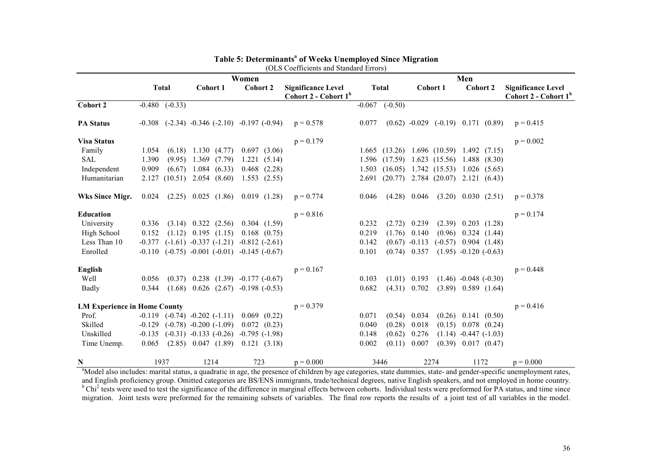|                                     | Women    |                    |                                                          |                  |                                                               | Men      |                   |                 |                                              |                          |  |                                                               |
|-------------------------------------|----------|--------------------|----------------------------------------------------------|------------------|---------------------------------------------------------------|----------|-------------------|-----------------|----------------------------------------------|--------------------------|--|---------------------------------------------------------------|
|                                     |          | <b>Total</b>       | Cohort 1                                                 | <b>Cohort 2</b>  | <b>Significance Level</b><br>Cohort 2 - Cohort 1 <sup>b</sup> |          | <b>Total</b>      |                 | Cohort 1                                     | Cohort 2                 |  | <b>Significance Level</b><br>Cohort 2 - Cohort 1 <sup>b</sup> |
| Cohort 2                            |          | $-0.480$ $(-0.33)$ |                                                          |                  |                                                               | $-0.067$ | $(-0.50)$         |                 |                                              |                          |  |                                                               |
| <b>PA Status</b>                    |          |                    | $-0.308$ $(-2.34)$ $-0.346$ $(-2.10)$ $-0.197$ $(-0.94)$ |                  | $p = 0.578$                                                   | 0.077    |                   |                 | $(0.62)$ $-0.029$ $(-0.19)$ $0.171$ $(0.89)$ |                          |  | $p = 0.415$                                                   |
| <b>Visa Status</b>                  |          |                    |                                                          |                  | $p = 0.179$                                                   |          |                   |                 |                                              |                          |  | $p = 0.002$                                                   |
| Family                              | 1.054    |                    | $(6.18)$ 1.130 $(4.77)$                                  | 0.697(3.06)      |                                                               |          | $1.665$ $(13.26)$ |                 | $1.696$ $(10.59)$ $1.492$ $(7.15)$           |                          |  |                                                               |
| <b>SAL</b>                          | 1.390    |                    | $(9.95)$ 1.369 $(7.79)$                                  | 1.221(5.14)      |                                                               |          | 1.596 (17.59)     |                 | $1.623$ (15.56) 1.488 (8.30)                 |                          |  |                                                               |
| Independent                         | 0.909    |                    | $(6.67)$ 1.084 $(6.33)$                                  | $0.468$ $(2.28)$ |                                                               | 1.503    |                   |                 | $(16.05)$ 1.742 $(15.53)$ 1.026 $(5.65)$     |                          |  |                                                               |
| Humanitarian                        |          |                    | $2.127$ (10.51) $2.054$ (8.60)                           | 1.553(2.55)      |                                                               | 2.691    |                   |                 | $(20.77)$ 2.784 $(20.07)$ 2.121 $(6.43)$     |                          |  |                                                               |
| Wks Since Migr.                     | 0.024    |                    | $(2.25)$ 0.025 $(1.86)$                                  | 0.019(1.28)      | $p = 0.774$                                                   | 0.046    | (4.28)            | 0.046           |                                              | $(3.20)$ 0.030 $(2.51)$  |  | $p = 0.378$                                                   |
| <b>Education</b>                    |          |                    |                                                          |                  | $p = 0.816$                                                   |          |                   |                 |                                              |                          |  | $p = 0.174$                                                   |
| University                          | 0.336    |                    | $(3.14)$ 0.322 $(2.56)$                                  | $0.304$ $(1.59)$ |                                                               | 0.232    | (2.72)            | 0.239           |                                              | $(2.39)$ 0.203 $(1.28)$  |  |                                                               |
| High School                         | 0.152    |                    | $(1.12)$ 0.195 $(1.15)$                                  | $0.168$ $(0.75)$ |                                                               | 0.219    | (1.76)            | 0.140           |                                              | $(0.96)$ 0.324 $(1.44)$  |  |                                                               |
| Less Than 10                        | $-0.377$ |                    | $(-1.61)$ $-0.337$ $(-1.21)$ $-0.812$ $(-2.61)$          |                  |                                                               | 0.142    |                   | $(0.67)$ -0.113 |                                              | $(-0.57)$ 0.904 $(1.48)$ |  |                                                               |
| Enrolled                            |          |                    | $-0.110$ $(-0.75)$ $-0.001$ $(-0.01)$ $-0.145$ $(-0.67)$ |                  |                                                               | 0.101    |                   | $(0.74)$ 0.357  |                                              | $(1.95)$ -0.120 (-0.63)  |  |                                                               |
| <b>English</b>                      |          |                    |                                                          |                  | $p = 0.167$                                                   |          |                   |                 |                                              |                          |  | $p = 0.448$                                                   |
| Well                                | 0.056    |                    | $(0.37)$ 0.238 $(1.39)$ -0.177 $(-0.67)$                 |                  |                                                               | 0.103    | (1.01)            | 0.193           |                                              | $(1.46) -0.048(-0.30)$   |  |                                                               |
| <b>Badly</b>                        | 0.344    |                    | $(1.68)$ 0.626 $(2.67)$ -0.198 (-0.53)                   |                  |                                                               | 0.682    | (4.31)            | 0.702           |                                              | $(3.89)$ 0.589 $(1.64)$  |  |                                                               |
| <b>LM Experience in Home County</b> |          |                    |                                                          |                  | $p = 0.379$                                                   |          |                   |                 |                                              |                          |  | $p = 0.416$                                                   |
| Prof.                               |          |                    | $-0.119$ $(-0.74)$ $-0.202$ $(-1.11)$                    | $0.069$ $(0.22)$ |                                                               | 0.071    | (0.54)            | 0.034           |                                              | $(0.26)$ 0.141 $(0.50)$  |  |                                                               |
| Skilled                             |          |                    | $-0.129$ $(-0.78)$ $-0.200$ $(-1.09)$                    | $0.072$ $(0.23)$ |                                                               | 0.040    | (0.28)            | 0.018           |                                              | $(0.15)$ 0.078 $(0.24)$  |  |                                                               |
| Unskilled                           |          |                    | $-0.135$ $(-0.31)$ $-0.133$ $(-0.26)$ $-0.795$ $(-1.98)$ |                  |                                                               | 0.148    | (0.62)            | 0.276           |                                              | $(1.14) -0.447(-1.03)$   |  |                                                               |
| Time Unemp.                         | 0.065    |                    | $(2.85)$ 0.047 $(1.89)$                                  | 0.121(3.18)      |                                                               | 0.002    | (0.11)            | 0.007           |                                              | $(0.39)$ 0.017 $(0.47)$  |  |                                                               |
| N                                   |          | 1937               | 1214                                                     | 723              | $p = 0.000$                                                   |          | 3446              |                 | 2274                                         | 1172                     |  | $p = 0.000$                                                   |

## **Table 5: Determinantsa of Weeks Unemployed Since Migration**

(OLS Coefficients and Standard Errors)

<sup>a</sup>Model also includes: marital status, a quadratic in age, the presence of children by age categories, state dummies, state- and gender-specific unemployment rates, and English proficiency group. Omitted categories are BS/ENS immigrants, trade/technical degrees, native English speakers, and not employed in home country. <sup>b</sup> Chi<sup>2</sup> tests were used to test the significance of the difference in marginal effects between cohorts. Individual tests were preformed for PA status, and time since migration. Joint tests were preformed for the remaining subsets of variables. The final row reports the results of a joint test of all variables in the model.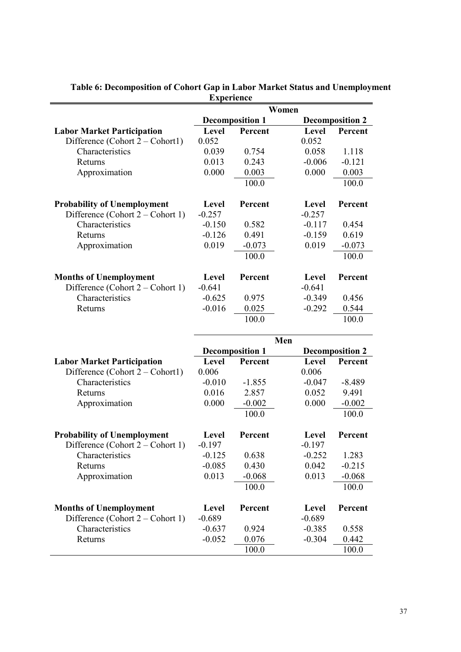|                                                                          | варствиес         | Women                  |                          |                        |
|--------------------------------------------------------------------------|-------------------|------------------------|--------------------------|------------------------|
|                                                                          |                   | <b>Decomposition 1</b> |                          | <b>Decomposition 2</b> |
| <b>Labor Market Participation</b>                                        | Level             | Percent                | Level                    | Percent                |
| Difference (Cohort 2 – Cohort1)                                          | 0.052             |                        | 0.052                    |                        |
| Characteristics                                                          | 0.039             | 0.754                  | 0.058                    | 1.118                  |
| Returns                                                                  | 0.013             | 0.243                  | $-0.006$                 | $-0.121$               |
| Approximation                                                            | 0.000             | 0.003                  | 0.000                    | 0.003                  |
|                                                                          |                   | 100.0                  |                          | 100.0                  |
| <b>Probability of Unemployment</b><br>Difference (Cohort 2 – Cohort 1)   | Level<br>$-0.257$ | Percent                | Level<br>$-0.257$        | Percent                |
| Characteristics                                                          | $-0.150$          | 0.582                  | $-0.117$                 | 0.454                  |
| Returns                                                                  | $-0.126$          | 0.491                  | $-0.159$                 | 0.619                  |
| Approximation                                                            | 0.019             | $-0.073$               | 0.019                    | $-0.073$               |
|                                                                          |                   | 100.0                  |                          | 100.0                  |
| <b>Months of Unemployment</b><br>Difference (Cohort 2 – Cohort 1)        | Level<br>$-0.641$ | Percent                | Level<br>$-0.641$        | Percent                |
| Characteristics                                                          | $-0.625$          | 0.975                  | $-0.349$                 | 0.456                  |
| Returns                                                                  | $-0.016$          | 0.025                  | $-0.292$                 | 0.544                  |
|                                                                          |                   | 100.0                  |                          | 100.0                  |
|                                                                          |                   | Men                    |                          |                        |
|                                                                          |                   | <b>Decomposition 1</b> |                          | <b>Decomposition 2</b> |
| <b>Labor Market Participation</b>                                        | Level             | Percent                | Level                    | Percent                |
| Difference (Cohort 2 – Cohort1)                                          | 0.006             |                        | 0.006                    |                        |
| Characteristics                                                          | $-0.010$          | $-1.855$               | $-0.047$                 | $-8.489$               |
| Returns                                                                  | 0.016             | 2.857                  | 0.052                    | 9.491                  |
| Approximation                                                            | 0.000             | $-0.002$               | 0.000                    | $-0.002$               |
|                                                                          |                   | 100.0                  |                          | 100.0                  |
| <b>Probability of Unemployment</b><br>Difference (Cohort $2$ – Cohort 1) | Level<br>$-0.197$ | Percent                | <b>Level</b><br>$-0.197$ | Percent                |
| Characteristics                                                          | $-0.125$          | 0.638                  | $-0.252$                 | 1.283                  |
| Returns                                                                  | $-0.085$          | 0.430                  | 0.042                    | $-0.215$               |
| Approximation                                                            | 0.013             | $-0.068$               | 0.013                    | $-0.068$               |
|                                                                          |                   | 100.0                  |                          | 100.0                  |
| <b>Months of Unemployment</b><br>Difference (Cohort 2 – Cohort 1)        | Level<br>$-0.689$ | Percent                | Level<br>$-0.689$        | Percent                |
| Characteristics                                                          | $-0.637$          | 0.924                  | $-0.385$                 | 0.558                  |
| Returns                                                                  | $-0.052$          | 0.076                  | $-0.304$                 | 0.442                  |
|                                                                          |                   | 100.0                  |                          | 100.0                  |

# **Table 6: Decomposition of Cohort Gap in Labor Market Status and Unemployment Experience**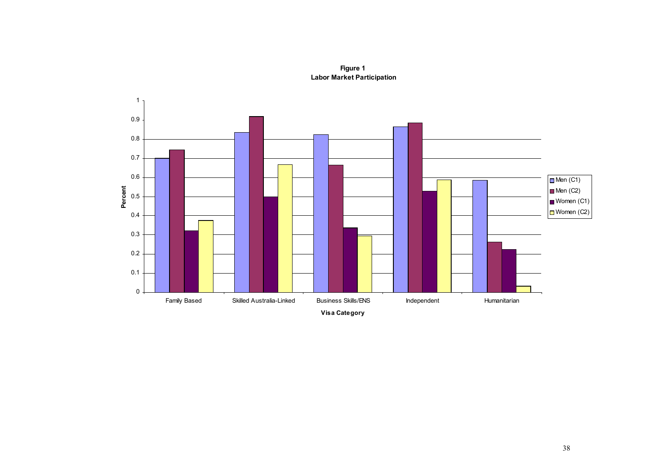

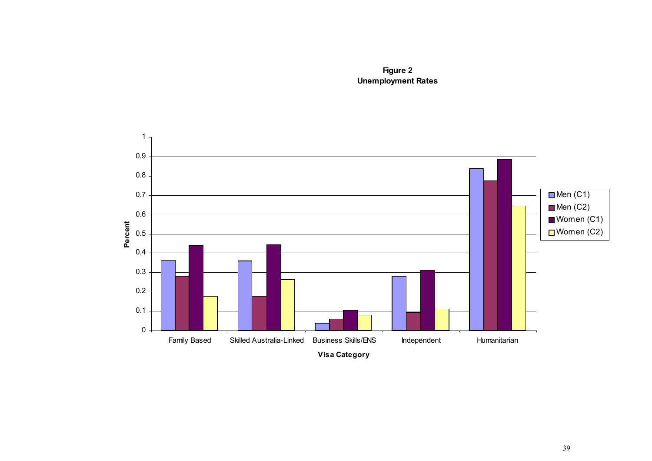**Figure 2 Unemployment Rates**

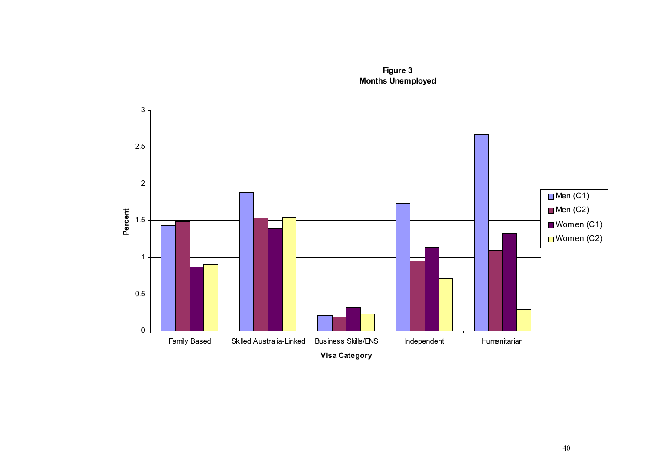**Figure 3 Months Unemployed**